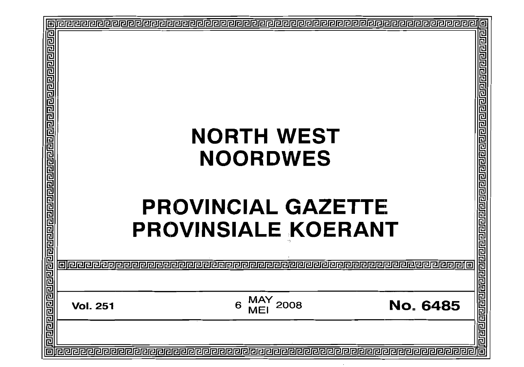| 回 |  | 回 |
|---|--|---|
|   |  |   |
|   |  |   |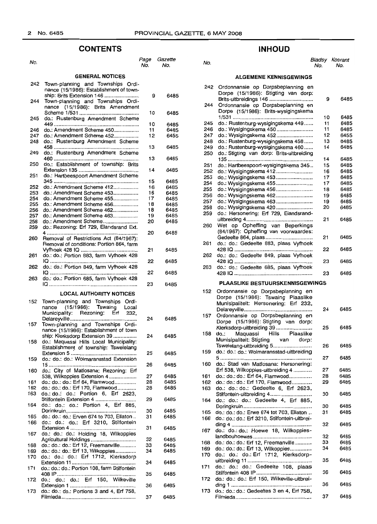## **CONTENTS**

| No.        |                                                                                                                  | Page<br>No. | Gazette<br>No. |
|------------|------------------------------------------------------------------------------------------------------------------|-------------|----------------|
|            | <b>GENERAL NOTICES</b>                                                                                           |             |                |
| 242        | Town-planning and Townships Ordi-<br>nance (15/1986): Establishment of town-                                     |             |                |
| 244        | ship: Brits Extension 146<br>Town-planning and Townships Ordi-<br>nance (15/1986): Brits Amendment               | 9           | 6485           |
| 245        | do.: Rustenburg Amendment Scheme                                                                                 | 10          | 6485           |
| 246        | do.: Amendment Scheme 450                                                                                        | 10<br>11    | 6485<br>6485   |
| 247        | do.: Amendment Scheme 452                                                                                        | 12          | 6455           |
| 248        | do.: Rustenburg Amendment Scheme                                                                                 | 13          | 6485           |
| 249        | do.: Rustenburg Amendment Scheme                                                                                 | 13          | 6485           |
| 250        | do.: Establishment of township: Brits                                                                            | 14          | 6485           |
| 251        | do.: Hartbeespoort Amendment Scheme                                                                              | 15          | 6485           |
| 252        | do.: Amendment Scheme 412                                                                                        | 16          | 6485           |
| 253        | do.: Amendment Scheme 453                                                                                        | 16          | 6485           |
| 254        | do.: Amendment Scheme 455                                                                                        | 17          | 6485           |
| 255        | do.: Amendment Scheme 456<br>do.: Amendment Scheme 462                                                           | 18<br>18    | 6485           |
| 256<br>257 | do.: Amendment Scheme 463                                                                                        | 19          | 6485<br>6485   |
| 258        | do.: Amendment Scheme                                                                                            | 20          | 6485           |
| 259        | do.: Rezoning: Erf 729, Elandsrand Ext.                                                                          | 20          | 6485           |
| 260        | Removal of Restrictions Act (84/1967):<br>Removal of conditions: Portion 864, farm                               |             |                |
| 261        | do.: do.: Portion 883, farm Vyfhoek 428                                                                          | 21<br>22    | 6485<br>6485   |
| 262        | do.: do.: Portion 849, farm Vyfhoek 428                                                                          | 22          | 6485           |
| 263        | do.: do.: Portion 685, farm Vyfhoek 428                                                                          | 23          | 6485           |
|            | <b>LOCAL AUTHORITY NOTICES</b>                                                                                   |             |                |
| 152        |                                                                                                                  |             |                |
|            | Town-planning and Townships<br>Ordi-<br>nance (15/1986): Tswaing<br>Local<br>Municipality: Rezoning: Erf<br>232, |             |                |
| 157        | Delareyville<br>Town-planning and Townships Ordi-<br>nance (15/1986): Establishment of town                      | 24          | 6485           |
| 158        | ship: Klerksdorp Extension 39<br>do.: Maquassi Hills Local Municipality:                                         | 24          | 6485           |
| 159        | Establishment of township: Tswelelang<br>do.: do.: do.: Wolmaransstad Extension                                  | 25          | 6485           |
| 160        | do.: City of Matlosana: Rezoning: Erf                                                                            | 26          | 6485           |
|            | 538, Wilkoppies Extension 4                                                                                      | 27          | 6485           |
| 161        | do.: do.: do.: Erf 64, Flamwood                                                                                  | 28          | 6485           |
| 162        | do.: do.: do.: Erf 170, Flamwood                                                                                 | 28          | 6485           |
| 163        | do.: do.: do.: Portion 6, Erf 2623,<br>Stilfontein Extension 4                                                   | 29          | 6485           |
| 164        | do.: do.: do.: Portion 4, Erf 885,                                                                               | 30          | 6485           |
| 165        | do.: do.: do.: Erven 674 to 703, Ellaton                                                                         | 31          | 6485           |
| 166        | do.: do.: do.: Erf 3210, Stilfontein                                                                             |             |                |
| 167        | do.: do.: do.: Holding 18, Wilkoppies                                                                            | 31          | 6485           |
|            | Agricultural Holdings                                                                                            | 32          | 6485           |
| 168        | do.: do.: do.: Erf 12, Freemanville                                                                              | 33          | 6485           |
| 169        | do.: do.: do.: Erf 13, Wilkoppies                                                                                | 34          | 6485           |
| 170        | do.: do.: do.: Erf 1712, Klerksdorp                                                                              | 34          | 6485           |
| 171        | do.: do.: do.: Portion 108, farm Stilfontein                                                                     | 35          | 6485           |
| 172        | do.: do.: do.: Erf 150, Wilkeville                                                                               | 36          | 6485           |
| 173        | do.: do.: do.: Portions 3 and 4, Erf 758,                                                                        | 37          | 6485           |

## **INHOUD**

| age<br>No. | Gazette<br>No. | No.        |                                                                                                                                         | No. | Bladsy Koerant<br>No. |
|------------|----------------|------------|-----------------------------------------------------------------------------------------------------------------------------------------|-----|-----------------------|
|            |                |            | <b>ALGEMENE KENNISGEWINGS</b>                                                                                                           |     |                       |
| 9          | 6485           | 242<br>244 | Ordonnansie op Dorpsbeplanning en<br>Dorpe (15/1986): Stigting van dorp:<br>Brits-uitbreidings 146<br>Ordonnansie op Dorpsbeplanning en | 9   | 6485                  |
| 10         | 6485           |            | Dorpe (15/1986): Brits-wysigingskema                                                                                                    | 10  | 6485                  |
| 10         | 6485           | 245        | do.: Rustenburg-wysigingskema 449                                                                                                       | 11  | 6485                  |
| 11         | 6485           | 246        | do.: Wysigingskema 450                                                                                                                  | 11  | 6485                  |
| 12         | 6455           | 247        | do.: Wysigingskema 452                                                                                                                  | 12  | 6455                  |
|            |                | 248        | do.: Rustenburg-wysigingskema 458                                                                                                       | 13  | 6485                  |
| 13         | 6485           | 249        | do.: Rustenburg-wysigingskema 460                                                                                                       | 14  | 6485                  |
|            |                | 250        | do.: Stigting van dorp: Brits-uitbreiding                                                                                               |     |                       |
| 13         | 6485           |            |                                                                                                                                         | 14  | 6485                  |
|            |                | 251        | do.: Hartbeespoort-wysigingskema 345                                                                                                    | 15  | 6485                  |
| 14         | 6485           | 252        | do.: Wysigingskema 412                                                                                                                  | 16  | 6485                  |
| 15         | 6485           | 253        | do.: Wysigingskema 453                                                                                                                  | 17  | 6485                  |
| 16         | 6485           | 254        | do.: Wysigingskema 455                                                                                                                  | 17  | 6485                  |
| 16         | 6485           | 255        | do.: Wysigingskema 456                                                                                                                  | 18  | 6485                  |
| 17         | 6485           | 256        | do.: Wysigingskema 462                                                                                                                  | 19  | 6485                  |
| 18         | 6485           | 257        | do.: Wysigingskema 463                                                                                                                  | 19  | 6485                  |
| 18         | 6485           | 258        |                                                                                                                                         | 20  | 6485                  |
| 19         | 6485           | 259        | do.: Hersonering: Erf 729, Elandsrand-                                                                                                  |     |                       |
| 20         | 6485           |            |                                                                                                                                         | 21  | 6485                  |
|            |                | 260        | Wet op Opheffing van Beperkings                                                                                                         |     |                       |
| 20         | 6485           |            | (84/1967): Opheffing van voorwaardes:                                                                                                   | 21  | 6485                  |
|            |                | 261        | do.: do.: Gedeelte 883, plaas Vyfhoek                                                                                                   |     |                       |
| 21         | 6485           | 262        | do.: do.: Gedeelte 849, plaas Vyfhoek                                                                                                   | 22  | 6485                  |
| 22         | 6485           |            |                                                                                                                                         | 23  | 6485                  |
| 22         | 6485           | 263        | do.: do.: Gedeelte 685, plaas Vyfhoek                                                                                                   | 23  | 6485                  |
| 23         | 6485           |            | <b>PLAASLIKE BESTUURSKENNISGEWINGS</b>                                                                                                  |     |                       |
|            |                | 152        | Ordonnansie op Dorpsbeplanning en<br>Dorpe (15/1986): Tswaing Plaaslike<br>Munisipaliteit: Hersonering: Erf 232,                        | 24  | 6485                  |
| 24         | 6485           | 157        | Ordonnansie op Dorpsbeplanning en<br>Dorpe (15/1986): Stigting van dorp:<br>Klerksdorp-uitbreiding 39                                   | 25  | 6485                  |
| 24         | 6485           | 158        | Hills<br>do.:<br>Maguassi<br>Plaaslike<br>Munisipaliteit: Stigting<br>van<br>dorp:                                                      | 26  | 6485                  |
| 25         | 6485           | 159        | Tswelelang-uitbreiding 5<br>do.: do.: do.: Wolmaransstad-uitbreiding                                                                    |     |                       |
|            |                | 160        | do.: Stad van Matlosana: Hersonering:                                                                                                   | 27  | 6485                  |
| 26         | 6485           |            | Erf 538, Wilkoppies-uitbreiding 4                                                                                                       | 27  | 6485                  |
| 27         | 6485           | 161        | do.: do.: do.: Erf 64, Flamwood                                                                                                         | 28  | 6485                  |
| 28         | 6485           | 162        | do.: do.: do.: Erf 170, Flamwood                                                                                                        | 29  | 6485                  |
| 28         | 6485           | 163        | do.: do.: do.: Gedeelte 6, Erf 2623,                                                                                                    |     |                       |
|            |                |            | Stilfontein-uitbreiding 4                                                                                                               | 30  | 6485                  |
| 29         | 6485           | 164        | do.: do.: do.: Gedeelte 4, Erf 885,                                                                                                     |     |                       |
|            |                |            |                                                                                                                                         | 30  | 6485                  |
| 30         | 6485           | 165        | do.: do.: do.: Erwe 674 tot 703, Ellaton                                                                                                | 31  | 6485                  |
| 31         | 6485           | 166        | do.: do.: do.: Erf 3210, Stilfontein-uitbrei-                                                                                           |     |                       |
|            |                |            |                                                                                                                                         | 32  | 6485                  |
| 31         | 6485           | 167        | do.: do.: do.: Hoewe 18, Wilkoppies-                                                                                                    |     |                       |
| 32         | 6485           |            |                                                                                                                                         | 32  | 6485                  |
| 33         | 6485           | 168        | do.: do.: do.: Erf 12, Freemanville                                                                                                     | 33  | 6485                  |
| 34         | 6485           | 169        | do.: do.: do.: Erf 13, Wilkoppies                                                                                                       | 34  | 6485                  |
|            |                | 170        | do.: do.: do.: Erf 1712, Klerksdorp-                                                                                                    |     |                       |
| 34         | 6485           |            |                                                                                                                                         | 35  | 6485                  |
|            |                | 171        | do.: do.: do.: Gedeelte 108, plaas                                                                                                      |     |                       |
| 35         | 6485           |            |                                                                                                                                         | 36  | 6485                  |
|            |                | 172        | do.: do.: do.: Erf 150, Wilkeville-uitbrei-                                                                                             |     |                       |
| 36         | 6485           |            |                                                                                                                                         | 36  | 6485                  |
|            |                | 173        | do.: do.: do.: Gedeeltes 3 en 4, Erf 758,                                                                                               |     |                       |

Filmieda................................................... 37

6485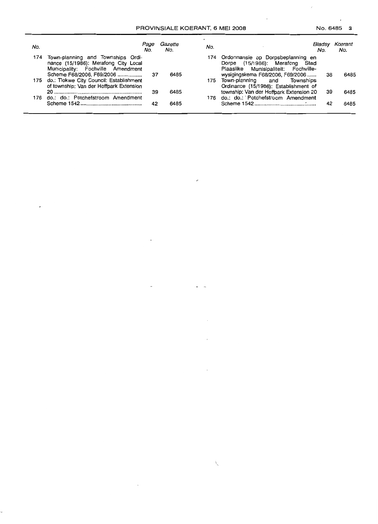$\cdot$ 

 $\boldsymbol{r}$ 

| No. |                                                                                                                    | Page<br>No. | Gazette<br>No. | No. |                                                                                                                           | Bladsy<br>No. | Koerant<br>No. |
|-----|--------------------------------------------------------------------------------------------------------------------|-------------|----------------|-----|---------------------------------------------------------------------------------------------------------------------------|---------------|----------------|
|     | 174 Town-planning and Townships Ordi-<br>nance (15/1986): Merafong City Local<br>Municipality: Fochville Amendment |             |                |     | 174 Ordonnansie op Dorpsbeplanning en<br>Dorpe (15/1986): Merafong Stad<br>Plaaslike Munisipaliteit: Fochville-           |               |                |
|     | Scheme F68/2006, F69/2006<br>175 do.: Tlokwe City Council: Establishment                                           | 37          | 6485           |     | wysigingskema F68/2006, F69/2006<br>175 Town-planning and Townships                                                       | 38            | 6485           |
|     | of township: Van der Hoffpark Extension<br>176 do.: do.: Potchefstroom Amendment                                   | 39          | 6485           |     | Ordinance (15/1986): Establishment of<br>township: Van der Hoffpark Extension 20<br>176 do.: do.: Potchefstroom Amendment | 39            | 6485           |
|     |                                                                                                                    | 42          | 6485           |     |                                                                                                                           | 42            | 6485           |

٠,

 $\overline{1}$ 

 $\ddot{\phantom{a}}$ 

 $\tilde{f}$ 

 $\bar{a}$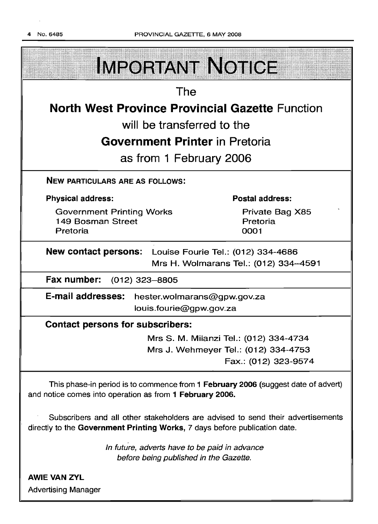| <b>IMPORTANT NOTICE</b>                                                                                                                                       |                                                                                                        |  |  |  |  |
|---------------------------------------------------------------------------------------------------------------------------------------------------------------|--------------------------------------------------------------------------------------------------------|--|--|--|--|
| The                                                                                                                                                           |                                                                                                        |  |  |  |  |
| <b>North West Province Provincial Gazette Function</b>                                                                                                        |                                                                                                        |  |  |  |  |
| will be transferred to the                                                                                                                                    |                                                                                                        |  |  |  |  |
| <b>Government Printer in Pretoria</b>                                                                                                                         |                                                                                                        |  |  |  |  |
| as from 1 February 2006                                                                                                                                       |                                                                                                        |  |  |  |  |
| <b>NEW PARTICULARS ARE AS FOLLOWS:</b>                                                                                                                        |                                                                                                        |  |  |  |  |
| <b>Physical address:</b>                                                                                                                                      | <b>Postal address:</b>                                                                                 |  |  |  |  |
| <b>Government Printing Works</b><br>149 Bosman Street<br>Pretoria                                                                                             | Private Bag X85<br>Pretoria<br>0001                                                                    |  |  |  |  |
| <b>New contact persons:</b><br>Louise Fourie Tel.: (012) 334-4686<br>Mrs H. Wolmarans Tel.: (012) 334-4591                                                    |                                                                                                        |  |  |  |  |
| Fax number:<br>$(012)$ 323-8805                                                                                                                               |                                                                                                        |  |  |  |  |
| E-mail addresses:<br>hester.wolmarans@gpw.gov.za<br>louis.fourie@gpw.gov.za                                                                                   |                                                                                                        |  |  |  |  |
| <b>Contact persons for subscribers:</b>                                                                                                                       |                                                                                                        |  |  |  |  |
|                                                                                                                                                               | Mrs S. M. Milanzi Tel.: (012) 334-4734<br>Mrs J. Wehmeyer Tel.: (012) 334-4753<br>Fax.: (012) 323-9574 |  |  |  |  |
| This phase-in period is to commence from 1 February 2006 (suggest date of advert)<br>and notice comes into operation as from 1 February 2006.                 |                                                                                                        |  |  |  |  |
| Subscribers and all other stakeholders are advised to send their advertisements<br>directly to the Government Printing Works, 7 days before publication date. |                                                                                                        |  |  |  |  |

In future, adverts have to be paid in advance before being published in the Gazette.

AWIE VAN ZVL Advertising Manager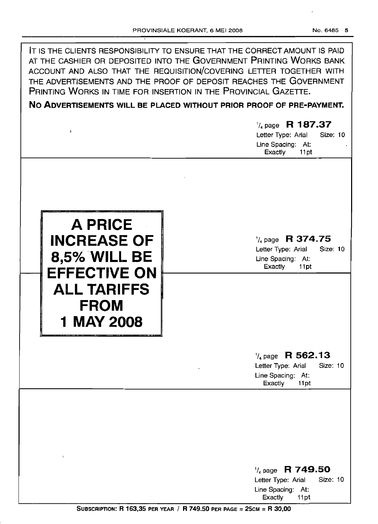| IT IS THE CLIENTS RESPONSIBILITY TO ENSURE THAT THE CORRECT AMOUNT IS PAID<br>AT THE CASHIER OR DEPOSITED INTO THE GOVERNMENT PRINTING WORKS BANK<br>ACCOUNT AND ALSO THAT THE REQUISITION/COVERING LETTER TOGETHER WITH<br>THE ADVERTISEMENTS AND THE PROOF OF DEPOSIT REACHES THE GOVERNMENT<br>PRINTING WORKS IN TIME FOR INSERTION IN THE PROVINCIAL GAZETTE.<br>NO ADVERTISEMENTS WILL BE PLACED WITHOUT PRIOR PROOF OF PRE-PAYMENT. |                                                                                                          |  |  |  |
|-------------------------------------------------------------------------------------------------------------------------------------------------------------------------------------------------------------------------------------------------------------------------------------------------------------------------------------------------------------------------------------------------------------------------------------------|----------------------------------------------------------------------------------------------------------|--|--|--|
| ŧ                                                                                                                                                                                                                                                                                                                                                                                                                                         | $\frac{1}{4}$ page R 187.37<br>Letter Type: Arial<br>Size: 10<br>Line Spacing: At:<br>11pt<br>Exactly    |  |  |  |
| A PRICE<br><b>INCREASE OF</b><br><b>8,5% WILL BE</b><br><b>EFFECTIVE ON</b><br><b>ALL TARIFFS</b><br><b>FROM</b><br>1 MAY 2008                                                                                                                                                                                                                                                                                                            | R 374.75<br>$\frac{1}{4}$ page<br>Size: 10<br>Letter Type: Arial<br>Line Spacing: At:<br>Exactly<br>11pt |  |  |  |
|                                                                                                                                                                                                                                                                                                                                                                                                                                           | $\frac{1}{4}$ page R 562.13<br>Letter Type: Arial<br>Size: 10<br>Line Spacing: At:<br>Exactly<br>11pt    |  |  |  |
| $\mathfrak{t}$                                                                                                                                                                                                                                                                                                                                                                                                                            | $\frac{1}{4}$ page R 749.50<br>Size: 10<br>Letter Type: Arial<br>Line Spacing: At:<br>Exactly<br>11pt    |  |  |  |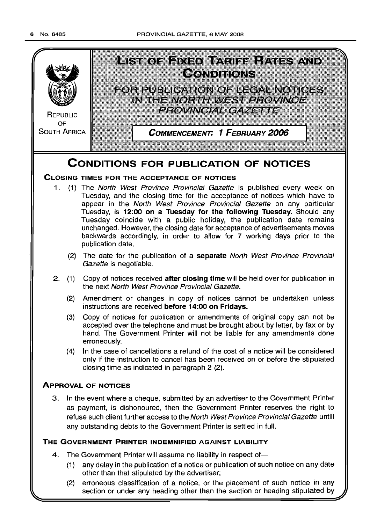

- (1) any delay in the publication of a notice or publication of such notice on any date other than that stipulated by the advertiser;
- (2) erroneous classification of a notice, or the placement of such notice in any section or under any heading other than the section or heading stipulated by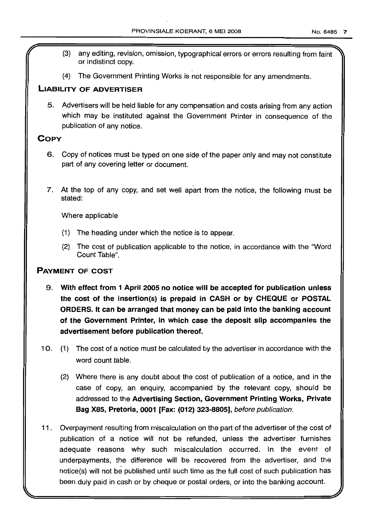- (3) any editing, revision, omission, typographical errors or errors resulting from faint~ or indistinct copy.
- (4) The Government Printing Works is not responsible for any amendments.

## **LIABILITY OF ADVERTISER**

5. Advertisers will be held liable for any compensation and costs arising from any action which may be instituted against the Government Printer in consequence of the publication of any notice.

## **COpy**

- 6. Copy of notices must be typed on one side of the paper only and may not constitute part of any covering letter or document.
- 7. At the top of any copy, and set well apart from the notice, the following must be stated:

Where applicable

- (1) The heading under which the notice is to appear.
- (2) The cost of publication applicable to the notice, in accordance with the "Word Count Table",

## **PAYMENT OF COST**

- 9. **With effect from 1 April 2005 no notice will be accepted for publication unless the cost of the insertion(s) is prepaid in CASH or by CHEQUE or POSTAL ORDERS. It can be arranged that money can be paid into the banking account of the Government Printer, in which case the deposit slip accompanies the advertisement before publication thereof.**
- 10. (1) The cost of a notice must be calculated by the advertiser in accordance with the word count table.
	- (2) Where there is any doubt about the cost of publication of a notice, and in the case of copy, an enquiry, accompanied by the relevant copy, should be addressed to the **Advertising Section, Government Printing Works, Private Bag X85, Pretoria, 0001 [Fax: (012) 323-8805],** before publication.
- **11.** Overpayment resulting from miscalculation on the part of the advertiser of the cost of publication of a notice will not be refunded, unless the advertiser furnishes adequate reasons why such miscalculation occurred. In the event of underpayments, the difference will be recovered from the advertiser, and the notice(s) will not be published until such time as the full cost of such publication has been duly paid in cash or by cheque or postal orders, or into the banking account.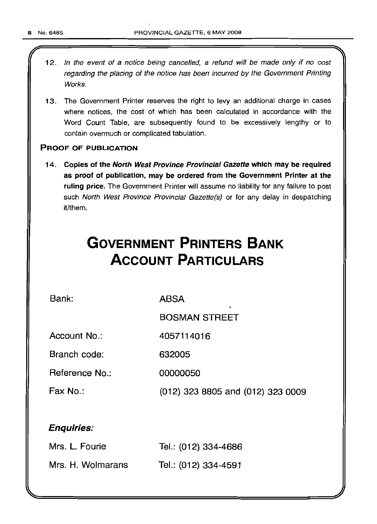- 12. In the event of a notice being cancelled, a refund will be made only if no cost regarding the placing of the notice has been incurred by the Government Printing Works.
- 13. The Government Printer reserves the right to levy an additional charge in cases where notices, the cost of which has been calculated in accordance with the Word Count Table, are subsequently found to be excessively lengthy or to contain overmuch or complicated tabulation.

## PROOF OF PUBLICATION

14. Copies of the North West Province Provincial Gazette which may be required as proof of publication, may be ordered from the Government Printer at the ruling price. The Government Printer will assume no liability for any failure to post such North West Province Provincial Gazette(s) or for any delay in despatching it/them.

# **GOVERNMENT PRINTERS BANK ACCOUNT PARTICULARS**

Bank:

ABSA

4057114016

BOSMAN STREET

Account No.:

Branch code: 632005

Reference No.: 00000050

Fax No.:

(012) 323 8805 and (012) 323 0009

## Enquiries:

| Mrs. L. Fourie    | Tel.: (012) 334-4686 |
|-------------------|----------------------|
| Mrs. H. Wolmarans | Tel.: (012) 334-4591 |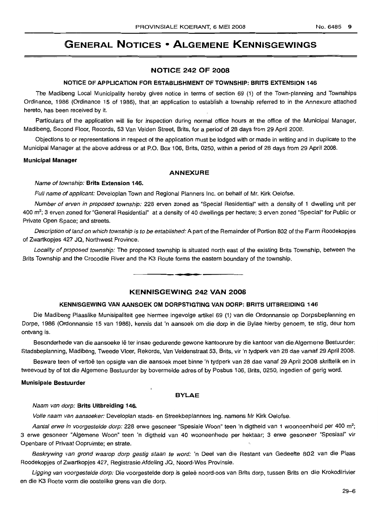# **GENERAL NOTICES • ALGEMENE KENNISGEWIINGS**

#### **NOTICE 242 OF 2008**

#### **NOTICE OF APPLICATION FOR ESTABLISHMENT OF TOWNSHIP: BRITS EXTENSION 146**

The Madibeng Local Municipality hereby gives notice in terms of section 69 (1) of the Town-planning and Townships Ordinance, 1986 (Ordinance 15 of 1986), that an application to establish a township referred to in the Annexure attached hereto, has been received by it.

Particulars of the application will lie for inspection during normal office hours at the office of the Municipal Manager, Madibeng, Second Floor, Records, 53 Van Velden Street, Brits, for aperiod of 28 days from 29 April 2008.

Objections to or representations in respect of the application must be lodged with or made in writing and in duplicate to the Municipal Manager at the above address or at P.O. Box 106, Brits, 0250, within a period of 28 days from 29 April 2008.

#### **Municipal Manager**

#### **ANNEXURE**

#### Name of township: **Brits Extension 146.**

Full name of applicant: Developlan Town and Regional Planners Inc. on behalf of Mr. Kirk Oelofse.

Number of erven in proposed township: 228 erven zoned as "Special Residential" with a density of 1 dwelling unit per 400 m<sup>2</sup>; 3 erven zoned for "General Residential" at a density of 40 dwellings per hectare; 3 erven zoned "Special" for Public or Private Open Space; and streets.

Description of land on which township is to be established: A part of the Remainder of Portion 802 of the Farm Roodekopjes of Zwartkopjes 427 JQ, Northwest Province.

Locality of proposed township: The proposed township is situated north east of the existing Brits Township, between the Brits Township and the Crocodile River and the K3 Route forms the eastern boundary of the township.

**• •**

#### **KENNISGEWING 242 VAN 2008**

#### **KENNISGEWING VAN AANSOEK OM DORPSTIGTING VAN DORP: BRITS UITBREIDING 146**

Die Madibeng Plaaslike Munisipaliteit gee hiermee ingevolge artikel 69 (1) van die Ordonnansie op Dorpsbeplanning en Dorpe, 1986 (Ordonnansie 15 van 1986), kennis dat 'n aansoek om die dorp in die Bylae hierby genoem, te stig, deur hom ontvang is.

Besonderhede van die aansoeke Iê ter insae gedurende gewone kantoorure by die kantoor van die Algemene Bestuurder: Stadsbeplanning, Madibeng, Tweede Vloer, Rekords, Van Veldenstraat 53, Brits, vir 'n tydperk van 28 dae vanaf 29 April 2008.

Besware teen of vertoë ten opsigte van die aansoek moet binne 'n tydperk van 28 dae vanaf 29 April 2008 skriftelik en in tweevoud by of tot die Aigemene Bestuurder by bovermelde adres of by Posbus 106, Brits, 0250, ingedien of gerig word.

#### **Munisipale Bestuurder**

#### **BYLAE**

#### Naam van dorp: **IBrits Uitbreiding 146.**

Volle naam van aansoeker: Developlan stads- en Streekbeplanners Ing. namens Mr Kirk Oelofse.

Aantal erwe in voorgestelde dorp: 228 erwe gesoneer "Spesiale Woon" teen 'n digtheid van 1 wooneen heid per 400 m<sup>2</sup>; 3 erwe gesoneer "Algemene Woon" teen 'n digtheid van 40 wooneenhede per hektaar; 3 erwe gesoneer "Spesiaal" vir Openbare of Privaat Oopruimte; en strate.

Beskrywing van grond waarop dorp gestig staan te word: 'n Deel van die Restant van Gedeelte 802 van die Plaas Roodekopjes of Zwartkopjes 427, Registrasie Afdeling JQ, Noord-Wes Provinsie.

Ligging van voorgestelde dorp: Die voorgestelde dorp is geleë noord-oos van Brits dorp, tussen Brits en die Krokodilrivier en die K3 Roete vorm die oostelike grens van die dorp.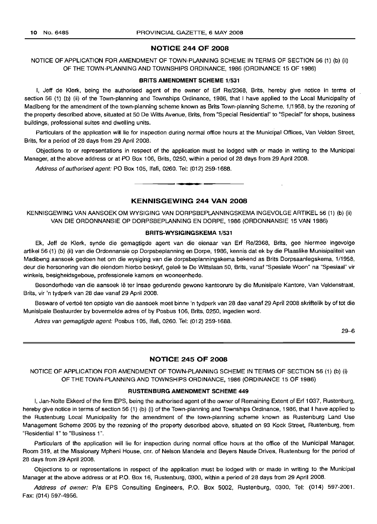#### **NOTICE 244 OF 2008**

NOTICE OF APPLICATION FOR AMENDMENT OF TOWN-PLANNING SCHEME IN TERMS OF SECTION 56 (1) (b) (ii) OF THE TOWN-PLANNING AND TOWNSHIPS ORDINANCE, 1986 (ORDINANCE 15 OF 1986)

#### **BRITS AMENDMENT SCHEME** 1/531

I, Jeff de Klerk, being the authorised agent of the owner of Erf Re/2368, Brits, hereby give notice in terms of section 56 (1) (b) (ii) of the Town-planning and Townships Ordinance, 1986, that I have applied to the Local Municipality of Madibeng for the amendment of the town-planning scheme known as Brits Town-planning Scheme, 1/1958, by the rezoning of the property described above, situated at 50 De Witts Avenue, Brits, from "Special Residential" to "Special" for shops, business buildings, professional suites and dwelling units.

Particulars of the application will lie for inspection during normal office hours at the Municipal Offices, Van Velden Street, Brits, for a period of 28 days from 29 April 2008.

Objections to or representations in respect of the application must be lodged with or made in writing to the Municipal Manager, at the above address or at PO Box 106, Brits, 0250, within a period of 28 days from 29 April 2008.

Address of authorised agent: PO Box 105, Ifafi, 0260. Tel: (012) 259-1688 .

## **KENNISGEWING 244 VAN 2008**

**•**

KENNISGEWING VAN AANSOEK OM WYSIGING VAN DORPSBEPLANNINGSKEMA INGEVOLGE ARTIKEL 56 (1) (b) (ii) VAN DIE ORDONNANSIE OP DORPSBEPLANNING EN DORPE, 1986 (ORDONNANSIE 15 VAN 1986)

#### **BRITS-WYSIGINGSKEMA** 1/531

Ek, Jeff de Klerk, synde die gemagtigde agent van die eienaar van Erf Re/2368, Brits, gee hiermee ingevolge artikel 56 (1) (b) (ii) van die Ordonnansie op Dorpsbeplanning en Dorpe, 1986, kennis dat ek by die Plaaslike Munisipaliteit van Madibeng aansoek gedoen het om die wysiging van die dorpsbeplanningskema bekend as Brits Dorpsaanlegskema, 1/1958, deur die hersonering van die eiendom hierbo beskryf, geleë te De Wittslaan 50, Brits, vanaf "Spesiale Woon" na "Spesiaal" vir winkels, besigheidsgeboue, professionele kamers en wooneenhede.

Besonderhede van die aansoek lê ter insae gedurende gewone kantoorure by die Munisipale Kantore, Van Veldenstraat, Brits, vir 'n tydperk van 28 dae vanaf 29 April 2008.

Besware of vertoë ten opsigte van die aansoek moet binne 'n tydperk van 28 dae vanaf 29 April 2008 skriftelik by of tot die Munisipale Bestuurder by bovermelde adres of by Posbus 106, Brits, 0250, ingedien word.

Adres van gemagtigde agent: Posbus 105, Ifafi, 0260. Tel: (012) 259-1688.

29-6

## **NOTICE 245 OF 2008**

NOTICE OF APPLICATION FOR AMENDMENT OF TOWN-PLANNING SCHEME IN TERMS OF SECTION 56 (1) (b) (i) OF THE TOWN-PLANNING AND TOWNSHIPS ORDINANCE, 1986 (ORDINANCE 15 OF 1986)

#### **RUSTENBURG AMENDMENT SCHEME 449**

I, Jan-Nolte Ekkerd of the firm EPS, being the authorised agent of the owner of Remaining Extent of Erf 1037, Rustenburg, hereby give notice in terms of section 56 (1) (b) (i) of the Town-planning and Townships Ordinance, 1986, that I have applied to the Rustenburg Local Municipality for the amendment of the town-planning scheme known as Rustenburg Land Use Management Scheme 2005 by the rezoning of the property described above, situated on 93 Kock Street, Rustenburg, from "Residential 1" to "Business 1".

Particulars of the application will lie for inspection during normal office hours at the office of the Municipal Manager, Room 319, at the Missionary Mpheni House, cnr. of Nelson Mandela and Beyers Naude Drives, Rustenburg for the period of 28 days from 29 April 2008.

Objections to or representations in respect of the application must be lodged with or made in writing to the Municipal Manager at the above address or at P.O. Box 16, Rustenburg, 0300, within a period of 28 days from 29 April 2008.

Address of owner: Pia EPS Consulting Engineers, P.O. Box 5002, Rustenburg, 0300. Tel: (014) 597-2001. Fax: (014) 597-4956.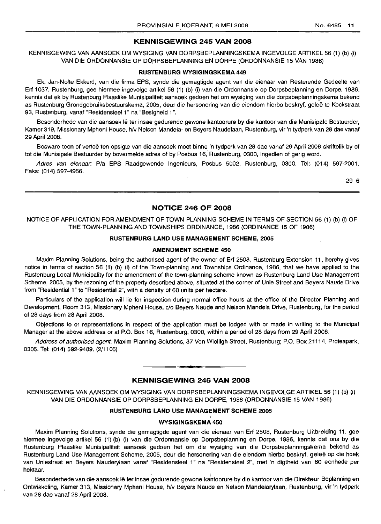#### **KENNISGEWING 245 VAN 2008**

KENNISGEWING VAN AANSOEK OM WYSIGING VAN DORPSBEPLANNINGSKEMA INGEVOLGE ARTIKEL 56 (1) (b) (i) VAN DIE ORDONNANSIE OP DORPSBEPLANNING EN DORPE (ORDONNANSIE 15 VAN 1986)

#### **RUSTENBURG WYSIGINGSKEMA 449**

Ek, Jan-Nolte Ekkerd, van die firma EPS, synde die gemagtigde agent van die eienaar van Resterende Gedeelte van Erf 1037, Rustenburg, gee hiermee ingevolge artikel 56 (1) (b) (i) van die Ordonnansie op Dorpsbeplanning en Dorpe, 1986, kennis dat ek by Rustenburg Plaaslike Munisipaliteit aansoek gedoen het om wysiging van die dorpsbeplanningskema bekend as Rustenburg Grondgebruiksbestuurskema, 2005, deur die hersonering van die eiendom hierbo beskryf, geleë te Kockstraat 93, Rustenburg, vanaf "Residensieel 1" na "Besigheid 1".

Besonderhede van die aansoek lê ter insae gedurende gewone kantoorure by die kantoor van die Munisipale Bestuurder, Kamer 319, Missionary Mpheni House, h/v Nelson Mandela- en Beyers Naudelaan, Rustenburg, vir 'n tydperk van 28 dae vanaf 29 April 2008.

Besware teen of vertoë ten opsigte van die aansoek moet binne 'n tydperk van 28 dae vanaf 29 April 2008 skriftelik by of tot die Munisipale Bestuurder by bovermelde adres of by Posbus 16, Rustenburg, 0300, ingedien of gerig word.

Adres van eienaar: Pia EPS Raadgewende Ingenieurs, Posbus 5002, Rustenburg, 0300. Tel: (014) 597-2001. Faks: (014) 597-4956.

29-6

#### **NOTICE 246 OF 2008**

NOTICE OF APPLICATION FOR AMENDMENT OF TOWN-PLANNING SCHEME IN TERMS OF SECTION 56 (1) (b) (i) OF THE TOWN-PLANNING AND TOWNSHIPS ORDINANCE, 1986 (ORDINANCE 15 OF 1986)

## **RUSTENBURG LAND USE MANAGEMENT SCHEME, 2005**

#### **AMENDMENT SCHEME 450**

Maxim Planning Solutions, being the authorised agent of the owner of Erf 2508, Rustenburg Extension 11, hereby gives notice in terms of section 56 (1) (b) (i) of the Town-planning and Townships Ordinance, 1986, that we have applied to the Rustenburg Local Municipality for the amendment of the town-planning scheme known as Rustenburg Land Use Management Scheme, 2005, by the rezoning of the property described above, situated at the corner of Unie Street and Beyers Naude Drive from "Residential 1" to "Residential 2", with a density of 60 units per hectare.

Particulars of the application will lie for inspection during normal office hours at the office of the Director Planning and Development, Room 313, Missionary Mpheni House, c/o Beyers Naude and Nelson Mandela Drive, Rustenburg, for the period of 28 days from 28 April 2008.

Objections to or representations in respect of the application must be lodged with or made in writing to the Municipal Manager at the above address or at P.O. Box 16, Rustenburg, 0300, within a period of 28 days from 29 April 2008.

Address of authorised agent: Maxim Planning Solutions, 37 Von Wielligh Street, Rustenburg; P.O. Box 21114, Proteapark, 0305. Tel: (014) 592-9489. (2/1105)

## **KENNISGEWING 246 VAN 2008**

**- I**

KENNISGEWING VAN AANSOEK OM WYSIGING VAN DORPSBEPLANNINGSKEMA lNGEVOLGE ARTIKEL 56 (1) (b) (i) VAN DIE ORDONNANSIE OP DORPSBEPLANNING EN DORPE, 1986 (ORDONNANSIE 15 VAN 1986)

## **RUS"rENBURG LAND USE MANAGEMENT SCHEME 2005**

#### **WYSIGINGSKEMA 450**

Maxim Planning Solutions, synde die gemagtigde agent van die eienaar van Erf 2508, Rustenburg Uitbreiding 11, gee hiermee ingevolge artikel 56 (1) (b) (i) van die Ordonnansie op Dorpsbeplanning en Dorpe, 1986, kennis dat ons by die Rustenburg Plaaslike Munisipaliteit aansoek gedoen het om die wysiging van die Dorpsbeplanningskema bekend as Rustenburg Land Use Management Scheme, 2005, deur die hersonering van die eiendom hierbo beskryf, gelee op die hoek van Uniestraat en Beyers Nauderylaan vanaf "Residensieel 1" na "Residensieel 2", met 'n digtheid van 60 eenhede per hektaar.<br>Bektaar.

Besonderhede van die aansoek Iê ter insae gedurende gewone kantoorure by die kantoor van die Direkteur Beplanning en Ontwikkeling, Kamer 313, Missionary Mpheni House, h/v Beyers Naude en Nelson Mandelarylaan, Rustenburg, vir 'n tydperk van 28 dae vanaf 28 April 2008.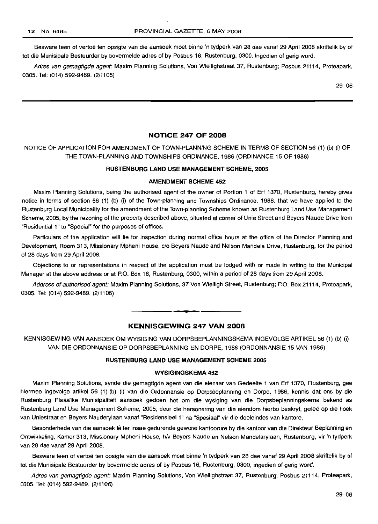Besware teen of vertoe ten opsigte van die aansoek moet binne 'n tydperk van 28 dae vanaf 29 April 2008 skriftelik by of tot die Munisipale Bestuurder by bovermelde adres of by Posbus 16, Rustenburg, 0300, ingedien of gerig word.

Adres van gemagtigde agent: Maxim Planning Solutions, Von Wiellighstraat 37, Rustenburg; Posbus 21114, Proteapark, 0305. Tel: (014) 592-9489. (2/1105)

29-06

## **NOTICE 247 OF 2008**

## NOTICE OF APPLICATION FOR AMENDMENT OF TOWN-PLANNING SCHEME IN TERMS OF SECTION 56 (1) (b) (i) OF THE TOWN-PLANNING AND TOWNSHIPS ORDINANCE, 1986 (ORDINANCE 15 OF 1986)

## **RUSTENBURG LAND USE MANAGEMENT SCHEME, 2005**

#### **AMENDMENT SCHEME 452**

Maxim Planning Solutions, being the authorised agent of the owner of Portion 1 of Erf 1370, Rustenburg, hereby gives notice in terms of section 56 (1) (b) (i) of the Town-planning and Townships Ordinance, 1986, that we have applied to the Rustenburg Local Municipality for the amendment of the Town-planning Scheme known as Rustenburg Land Use Management Scheme, 2005, by the rezoning of the property described above, situated at corner of Unie Street and Beyers Naude Drive from "Residential 1" to "Special" for the purposes of offices.

Particulars of the application will lie for inspection during normal office hours at the office of the Director Planning and Development, Room 313, Missionary Mpheni House, c/o Beyers Naude and Nelson Mandela Drive, Rustenburg, for the period of 28 days from 29 April 2008.

Objections to or representations in respect of the application must be lodged with or made in writing to the Municipal Manager at the above address or at P.O. Box 16, Rustenburg, 0300, within a period of 28 days from 29 April 2008.

Address of authorised agent: Maxim Planning Solutions, 37 Von Wielligh Street, Rustenburg; P.O. Box 21114, Proteapark, 0305. Tel: (014) 592-9489. (2/1106)

## **KENNISGEWING 247 VAN 2008**

.**-.**

KENNISGEWING VAN AANSOEK OM WYSIGING VAN DORPSBEPLANNINGSKEMA INGEVOLGE ARTIKEL 56 (1) (b) (i) VAN DIE ORDONNANSIE OP DORPSBEPLANNING EN DORPE, 1986 (ORDONNANSIE 15 VAN 1986)

#### **RUSTENBURG LAND USE MANAGEMENT SCHEME 2005**

#### **WYSIGINGSKEMA 452**

Maxim Planning Solutions, synde die gemagtigde agent van die eienaar van Gedeelte 1 van Erf 1370, Rustenburg, gee hiermee ingevolge artikel 56 (1) (b) (i) van die Ordonnansie op Dorpsbeplanning en Dorpe, 1986, kennis dat ons by die Rustenburg Plaaslike Munisipaliteit aansoek gedoen het om die wysiging van die Dorpsbeplanningskema bekend as Rustenburg Land Use Management Scheme, 2005, deur die hersonering van die eiendom hierbo beskryf, gelee op die hoek van Uniestraat en Beyers Nauderylaan vanaf "Residensieel 1" na "Spesiaal" vir die doeleindes van kantore.

Besonderhede van die aansoek lê ter insae gedurende gewone kantoorure by die kantoor van die Direkteur Beplanning en Ontwikkeling, Kamer 313, Missionary Mpheni House, h/v Beyers Naude en Nelson Mandelarylaan, Rustenburg, vir 'n tydperk van 28 dae vanaf 29 April 2008.

Besware teen of vertoë ten opsigte van die aansoek moet binne 'n tydperk van 28 dae vanaf 29 April 2008 skriftelik by of tot die Munisipale Bestuurder by bovermelde adres of by Posbus 16, Rustenburg, 0300, ingedien of gerig word.

Adres van gemagtigde agent: Maxim Planning Solutions, Von Wiellighstraat 37, Rustenburg; Posbus 21114, Proteapark, 0305. Tel: (014) 592-9489. (2/1106)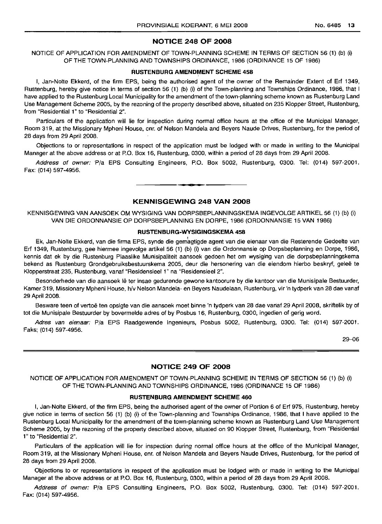## NOTICE 248 OF 2008

NOTICE OF APPLICATION FOR AMENDMENT OF TOWN-PLANNING SCHEME IN TERMS OF SECTION 56 (1) (b) (i) OF THE TOWN-PLANNING AND TOWNSHIPS ORDINANCE, 1986 (ORDINANCE 15 OF 1986)

#### RUSTENBURG AMENDMENT SCHEME 458

I, Jan-Nolte Ekkerd, of the firm EPS, being the authorised agent of the owner of the Remainder Extent of Erf 1349, Rustenburg, hereby give notice in terms of section 56 (1) (b) (i) of the Town-planning and Townships Ordinance, 1986, that I have applied to the Rustenburg Local Municipality for the amendment of the town-planning scheme known as Rustenburg Land Use Management Scheme 2005, by the rezoning of the property described above, situated on 235 Klopper Street, Rustenburg, from "Residential 1" to "Residential 2".

Particulars of the application will lie for inspection during normal office hours at the office of the Municipal Manager, Room 319, at the Missionary Mpheni House, cnr. of Nelson Mandela and Beyers Naude Drives, Rustenburg, for the period of 28 days from 29 April 2008.

Objections to or representations in respect of the application must be lodged with or made in writing to the Municipal Manager at the above address or at P.O. Box 16, Rustenburg, 0300, within a period of 28 days from 29 April 2008.

Address of owner: Pia EPS Consulting Engineers, P.O. Box 5002, Rustenburg, 0300. Tel: (014) 597-2001. Fax: (014) 597-4956.

#### KENNISGEWING 248 VAN 2008

•

KENNISGEWING VAN AANSOEK OM WYSIGING VAN DORPSBEPLANNINGSKEMA INGEVOLGE ARTIKEL 56 (1) (b) (i) VAN DIE ORDONNANSIE OP DORPSBEPLANNING EN DORPE, 1986 (ORDONNANSIE 15 VAN 1986)

#### RUSTENBURG-WVSIGINGSKEMA 458

Ek, Jan-Nolte Ekkerd, van die firma EPS, synde die gemagtigde agent van die eienaar van die Resterende Gedeelte van Erf 1349, Rustenburg, gee hiermee ingevolge artikel 56 (1) (b) (i) van die Ordonnansie op Dorpsbeplanning en Dorpe, 1986, kennis dat ek by die Rustenburg Plaaslike Munisipaliteit aansoek gedoen het om wysiging van die dorpsbeplanningskema bekend as Rustenburg Grondgebruiksbestuurskema 2005, deur die hersonering van die eiendom hierbo beskryf, geleë te Klopperstraat 235, Rustenburg, vanaf "Residensieel 1" na "Residensieel 2".

Besonderhede van die aansoek lê ter insae gedurende gewone kantoorure by die kantoor van die Munisipale Bestuurder, Kamer 319, Missionary Mpheni House, h/v Nelson Mandela- en Beyers Naudelaan, Rustenburg, vir 'n tydperk van 28 dae vanaf 29 April 2008.

Besware teen of vertoe ten opsigte van die aansoek moet binne 'n tydperk van 28 dae variaf 29 April 2008, skriftelik by of tot die Munisipale Bestuurder by bovermelde adres of by Posbus 16, Rustenburg, 0300, ingedien of gerig word.

Adres van eienaar: P/a EPS Raadgewende Ingenieurs, Posbus 5002, Rustenburg, 0300. Tel: (014) 597-2001. Faks: (014) 597-4956.

29-06

#### NOTICE 249 OF 2008

NOTICE OF APPLICATION FOR AMENDMENT OF TOWN-PLANNING SCHEME IN TERMS OF SECTION 56 (1) (b) (i) OF THE TOWN-PLANNING AND TOWNSHIPS ORDINANCE, 1986 (ORDINANCE 15 OF 1986)

#### RUSTENBURG AMENDMENT SCHEME 460

I, Jan-Nolte Ekkerd, of the firm EPS. being the authorised agent of the owner of Portion 6 of Erf 975, Rustenburg, hereby give notice in terms of section 56 (1) (b) (i) of the Town-planning and Townships Ordinance, 1986, that I have applied to the Rustenburg Local Municipality for the amendment of the town-planning scheme known as Rustenburg Land Use Management Scheme 2005, by the rezoning of the property described above, situated on 90 Klopper Street, Rustenburg, from "Residential 1" to "Residential 2".

Particulars of the application will lie for inspection during normal office hours at the office of the Municipal Manager, Room 319, at the Missionary Mpheni House, em. of Nelson Mandela and Beyers Naude Drives, Rustenburg, for the period of 28 days from 29 April 2008.

Objections to or representations in respect of the application must be lodged with or made in writing to the Municipal Manager at the above address or at P.O. Box 16, Rustenburg, 0300, within a period of 28 days from 29 April 2008.

Address of owner: P/a EPS Consulting Engineers, P.O. Box 5002, Rustenburg, 0300. Tel: (014) 597-2001. Fax: (014) 597-4956.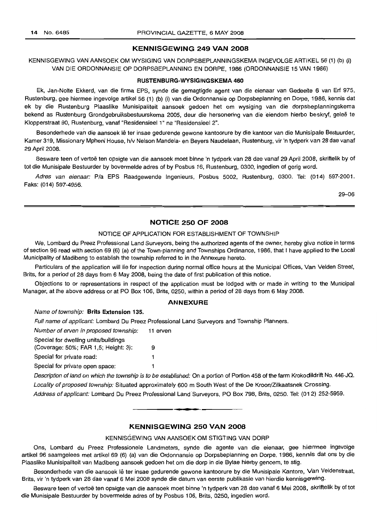## **KENNISGEWING 249 VAN 2008**

KENNISGEWING VAN AANSOEK OM WYSIGING VAN DORPSBEPLANNINGSKEMA INGEVOLGE ARTIKEL 56 (1) (b) (i) VAN DIE ORDONNANSIE OP DORPSBEPLANNING EN DORPE, 1986 (ORDONNANSIE 15 VAN 1986)

#### **RUSTENBURG-WYSIGINGSKEMA 460**

Ek, Jan-Nolte Ekkerd, van die firma EPS, synde die gemagtigde agent van die eienaar van Gedeelte 6 van Erf 975, Rustenburg, gee hiermee ingevolge artikel 56 (1) (b) (i) van die Ordonnansie op Dorpsbeplanning en Dorpe, 1986, kennis dat ek by die Rustenburg Plaaslike Munisipaliteit aansoek gedoen het om wysiging van die dorpsbeplanningskema bekend as Rustenburg Grondgebruiksbestuurskema 2005, deur die hersonering van die eiendom hierbo beskryf, geleë te Klopperstraat 90, Rustenburg, vanaf "Residensieel 1" na "Residensieel 2".

Besonderhede van die aansoek lê ter insae gedurende gewone kantoorure by die kantoor van die Munisipale Bestuurder, Kamer 319, Missionary Mpheni House, h/v Nelson Mandela- en Beyers Naudelaan, Rustenburg, vir 'n tydperk van 28 dae vanaf 29 April 2008.

Besware teen of vertoë ten opsigte van die aansoek moet binne 'n tydperk van 28 dae vanaf 29 April 2008, skriftelik by of tot die Munisipale Bestuurder by bovermelde adres of by Posbus 16, Rustenburg, 0300, ingedien of gerig word.

Adres van eienaar: Pia EPS Raadgewende Ingenieurs, Posbus 5002, Rustenburg, 0300. Tel: (014) 597-2001. Faks: (014) 597-4956.

29-06

## **NOTICE 250 OF 2008**

#### NOTICE OF APPLICATION FOR ESTABLISHMENT OF TOWNSHIP

We, Lombard du Preez Professional Land Surveyors, being the authorized agents of the owner, hereby give notice in terms of section 96 read with section 69 (6) (a) of the Town-planning and Townships Ordinance, 1986, that I have applied to the Local Municipality of Madibeng to establish the township referred to in the Annexure hereto.

Particulars of the application will lie for inspection during normal office hours at the Municipal Offices, Van Velden Street, Brits, for a period of 28 days from 6 May 2008, being the date of first publication of this notice.

Objections to or representations in respect of the application must be lodged with or made in writing to the Municipal Manager, at the above address or at PO Box 106, Brits, 0250, within a period of 28 days from 6 May 2008.

#### **ANNEXURE**

#### Name of township: **Brits Extension** 135.

Full name of applicant: Lombard Du Preez Professional Land Surveyors and Township Planners.

Number of erven in proposed township: 11 erven Special for dwelling units/buildings (Coverage: 50%; FAR 1,5; Height: 3): 9 Special for private road: 1

Special for private open space: 1

Description of land on which the township is to be established: On a portion of Portion 458 of the farm Krokodildrift No. 446-JQ. Locality of proposed township: Situated approximately 600 m South West of the De Kroon/Zilkaatsnek Crossing. Address of applicant: Lombard Du Preez Professional Land Surveyors, PO Box 798, Brits, 0250. Tel: (012) 252-5959.

## **KENNISGEWING 250 VAN 2008**

**• I**

#### KENNISGEWING VAN AANSOEK OM STIGTING VAN DORP

Ons, Lombard du Preez Professionele Landmeters, synde die agente van die eienaar, gee hiermee ingevolge artikel 96 saamgelees met artikel 69 (6) (a) van die Ordonnansie op Dorpsbeplanning en Dorpe, 1986, kennis dat ons by die Plaaslike Munisipaliteit van Madibeng aansoek gedoen het om die dorp in die Bylae hierby genoem, te stig.

Besonderhede van die aansoek Ie ter insae gedurende gewone kantoorure by die Munisipale Kantore, Van Veldenstraat, Brits, vir 'n tydperk van 28 dae vanaf 6 Mei 2008 synde die datum van eerste publikasie van hierdie kennisgewing.

Besware teen of vertoë ten opsigte van die aansoek moet binne 'n tydperk van 28 dae vanaf 6 Mei 2008, skriftelik by of tot die Munisipale Bestuurder by bovermelde adres of by Posbus 106, Brits, 0250, ingedien word.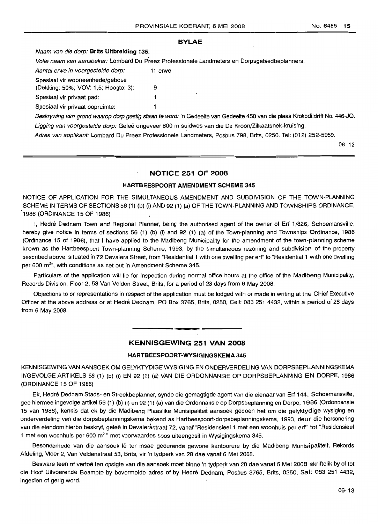#### **BVLAE**

#### Naam van die dorp: **Brits Uitbreiding** 135.

Volle naam van aansoeker: Lombard Du Preez Professionele Landmeters en Dorpsgebiedbeplanners.

Aantal erwe in voorgestelde dorp: 11 erwe

Spesiaal vir wooneenhede/geboue

(Dekking: 50%; VOV: 1,5; Hoogte: 3): 9 Spesiaal vir privaat pad: 1

Spesiaal vir privaat oopruimte: 1

Beskrywing van grond waarop dorp gestig staan te word: 'n Gedeelte van Gedeelte 458 van die plaas Krokodildrift No. 446-JQ. Ligging van voorgestelde dorp: Geleë ongeveer 600 m suidwes van die De Kroon/Zilkaatsnek-kruising.

Adres van applikant: Lombard Du Preez Professionele Landmeters, Posbus 798, Brits, 0250. Tel: (012) 252-5959.

06-13

#### **NOTICE 251 OF 2008**

#### **HARTBEESPOORT AMENDMENT SCHEME 345**

NOTICE OF APPLICATION FOR THE SIMULTANEOUS AMENDMENT AND SUBDIVISION OF THE TOWN-PLANNING SCHEME IN TERMS OF SECTIONS 56 (1) (b) (i) AND 92 (1) (a) OF THE TOWN-PLANNING AND TOWNSHIPS ORDINANCE, '1986 (ORDINANCE 15 OF 1986)

I, Hedré Dednam Town and Regional Planner, being the authorised agent of the owner of Erf 1/826, Schoemansville, hereby give notice in terms of sections 56 (1) (b) (i) and 92 (1) (a) of the Town-planning and Townships Ordinance, 1986 (Ordinance 15 of 1986), that I have applied to the Madibeng Municipality for the amendment of the town-planning scheme known as the Hartbeespoort Town-planning Scheme, 1993, by the simultaneous rezoning and subdivision of the property described above, situated in 72 Devalera Street, from "Residential 1 with one dwelling per erf' to "Residential 1 with one dwelling per 600 m<sup>2</sup>", with conditions as set out in Amendment Scheme 345.

Particulars of the application will lie for inspection during normal office hours at the office of the Madibeng Municipality, Records Division, Floor 2, 53 Van Velden Street, Brits, for a period of 28 days from 6 May 2008.

Objections to or representations in respect of the application must be lodged with or made in writing at the Chief Executive Officer at the above address or at Hedre Dednam, PO Box 3765, Brits, 0250, Cell: 083 251 4432, within a period of 28 days from 6 May 2008.

## **KENNISGEWING 251 VAN 2008**

## **HARTBEESPOORT-WYSIGINGSKEMA 345**

KENNISGEWING VAN AANSOEK OM GELYKTYDIGE WYSIGING EN ONDERVERDELING VAN DORPSBEPLANNINGSKEMA INGEVOLGE ARTIKELS 56 (1) (b) (i) EN 92 (1) (a) VAN DIE ORDONNANSIE OP DORPSBEPLANNING EN DORPE, 1986 (ORDINANCE 15 OF 1986)

Ek, Hedre Dednam Stads- en Streekbeplanner, synde die gemagtigde agent van die eienaar van Erf 144, Schoemansville, gee hiermee ingevolge artikel 56 (1) (b) (i) en 92 (1) (a) van die Ordonnansie op Dorpsbeplanning en Dorpe, 1986 (Ordonnansie 15 van 1986), kennis dat ek by die Madibeng Plaaslike Munisipaliteit aansoek gedoen het om die gelyktydige wysiging en onderverdeling van die dorpsbeplanningskema bekend as Hartbeespoort-dorpsbeplanningskema, 1993, deur die hersonering van die eiendom hierbo beskryf, geleë in Devalerastraat 72, vanaf "Residensieel 1 met een woonhuis per erf" tot "Residensieel 1 met een woonhuis per 600 m<sup>2</sup> " met voorwaardes soos uiteengesit in Wysigingskema 345.

Besonderhede van die aansoek lê ter insae gedurende gewone kantoorure by die Madibeng Munisipaliteit, Rekords Afdeling, Vloer 2, Van Veldenstraat 53, Brits, vir 'n tydperk van 28 dae vanaf 6 Mei 2008.

Besware teen of vertoe ten opsigte van die aansoek moet binne 'n tydperk van 28 dae vanaf 6 Mei 2008 skriftelik by of tot die Hoof Uitvoerende Beampte by bovermelde adres of by Hedré Dednam, Posbus 3765, Brits, 0250, Sel: 083 251 4432, ingedien of gerig word.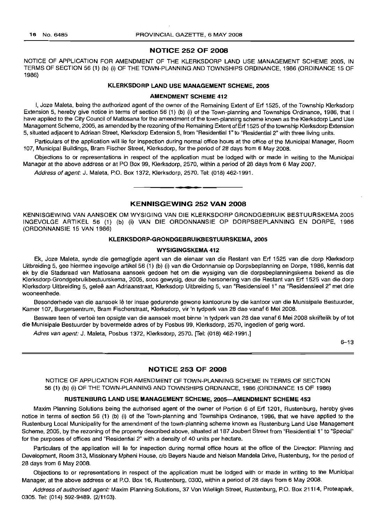## **NOTICE 252 OF 2008**

NOTICE OF APPLICATION FOR AMENDMENT OF THE KLERKSDORP LAND USE MANAGEMENT SCHEME 2005, IN TERMS OF SECTION 56 (1) (b) (i) OF THE TOWN-PLANNING AND TOWNSHIPS ORDINANCE, 1986 (ORDINANCE 15 OF 1986)

## **KLERKSDORP LAND USE MANAGEMENT SCHEME, 2005**

#### **AMENDMENT SCHEME 412**

I, Joze Maleta, being the authorized agent of the owner of the Remaining Extent of Erf 1525, of the Township Klerksdorp Extension 5, hereby give notice in terms of section 56 (1) (b) (i) of the Town-planning and Townships Ordinance, 1986, that I have applied to the City Council of Matlosana for the amendment of the town-planning scheme known as the Klerksdorp Land Use Management Scheme, 2005, as amended by the rezoning of the Remaining Extent of Erf 1525 of the township Klerksdorp Extension 5, situated adjacent to Adriaan Street, Klerksdorp Extension 5, from "Residential 1" to "Residential 2" with three living units.

Particulars of the application will lie for inspection during normal office hours at the office of the Municipal Manager, Room 107, Municipal Buildings, Bram Fischer Street, Klerksdorp, for the period of 28 days from 6 May 2008.

Objections to or representations in respect of the application must be lodged with or made in writing to the Municipal Manager at the above address or at PO Box 99, Klerksdorp, 2570, within a period of 28 days from 6 May 2007.

Address of agent: J. Maleta, P.O. Box 1372, Klerksdorp, 2570. Tel: (018) 462-1991.

## **KENNISGEWING 252 VAN 2008**

E **\_ •**

KENNISGEWING VAN AANSOEK OM WYSIGING VAN DIE KLERKSDORP GRONDGEBRUIK BESTUURSKEMA 2005 INGEVOLGE ARTIKEL 56 (1) (b) (i) VAN DIE ORDONNANSIE OP DORPSBEPLANNING EN DORPE, 1986 (ORDONNANSIE 15 VAN 1986)

#### **KLERKSDORP-GRONDGEBRUIKBESTUURSKEMA, 2005**

#### **WYSIGINGSKEMA 412**

Ek, Joze Maleta, synde die gemagtigde agent van die eienaar van die Restant van Erf 1525 van die dorp Klerksdorp Uitbreiding 5, gee hiermee ingevolge artikel 56 (1) (b) (i) van die Ordonnansie op Dorpsbeplanning en Dorpe, 1986, kennis dat ek by die Stadsraad van Matlosana aansoek gedoen het om die wysiging van die dorpsbeplanningskema bekend as die Klerksdorp-Grondgebruikbestuurskema, 2005, soos gewysig, deur die hersonering van die Restant van Erf 1525 van die dorp Klerksdorp Uitbreiding 5, gelee aan Adriaanstraat, Klerksdorp Uitbreiding 5, van "Residensieel 1" na "Residensieel 2" met drie wooneenhede.

Besonderhede van die aansoek lê ter insae gedurende gewone kantoorure by die kantoor van die Munisipale Bestuurder, Kamer 107, Burgersentrum, Bram Fischerstraat, Klerksdorp, vir 'n tydperk van 28 dae vanaf 6 Mei 2008.

Besware teen of vertoë ten opsigte van die aansoek moet binne 'n tydperk van 28 dae vanaf 6 Mei 2008 skriftelik by of tot die Munisipale Bestuurder by bovermelde adres of by Posbus 99, Klerksdorp, 2570, ingedien of gerig word.

Adres van agent: J. Maleta, Posbus 1372, Klerksdorp, 2570. [Tel: (018) 462-1991.]

6-13

#### **NOTICE 253 OF 2008**

NOTICE OF APPLICATION FOR AMENDMENT OF TOWN-PLANNING SCHEME IN TERMS OF SECTION 56 (1) (b) (i) OF THE TOWN-PLANNING AND TOWNSHIPS ORDNANCE, 1986 (ORDINANCE 15 OF 1986)

#### **RUSTENBURG LAND USE MANAGEMENT SCHEME, 2005-AMENDMENT SCHEME 453**

Maxim Planning Solutions being the authorised agent of the owner of Portion 6 of Erf 1201, Rustenburg, hereby gives notice in terms of section 56 (1) (b) (i) of the Town-planning and Townships Ordinance, 1986, that we have applied to the Rustenburg Local Municipality for the amendment of the town-planning scheme known as Rustenburg Land Use Management Scheme, 2005, by the rezoning of the property described above, situated at 187 Joubert Street from "Residential 1" to "Special" for the purposes of offices and "Residential 2" with a density of 40 units per hectare.

Particulars of the application will lie for inspection during normal office hours at the office of the Director: Planning and Development, Room 313, Missionary Mpheni House, c/o Beyers Naude and Nelson Mandela Drive, Rustenburg, for the period of 28 days from 6 May 2008.

Objections to or representations in respect of the application must be lodged with or made in writing to the Municipal Manager, at the above address or at P.O. Box 16, Rustenburg, 0300, within a period of 28 days from 6 May 2008.

Address of authorised agent: Maxim Planning Solutions, 37 Von Wielligh Street, Rustenburg, P.O. Box 21114, Proteapark, 0305. Tel: (014) 592-9489. (2/1103).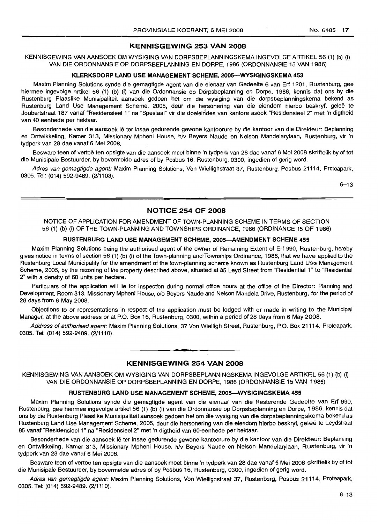## KENNISGEWING 253 VAN 2008

KENNISGEWING VAN AANSOEK OM WYSIGING VAN DORPSBEPLANNINGSKEMA INGEVOLGE ARTIKEL 56 (1) (b) (i) VAN DIE ORDONNANSIE OP DORPSBEPLANNING EN DORPE, 1986 (ORDONNANSIE 15 VAN 1986)

#### KLERKSDORP LAND USE MANAGEMENT SCHEME, 2005-WYSIGINGSKEMA 453

Maxim Planning Solutions synde die gemagtigde agent van die eienaar van Gedeelte 6 van Erf 1201, Rustenburg, gee hiermee ingevolge artikel 56 (1) (b) (i) van die Ordonnansie op Dorpsbeplanning en Dorpe, 1986, kennis dat ons by die Rustenburg Plaaslike Munisipaliteit aansoek gedoen het om die wysiging van die dorpsbeplanningskema bekend as Rustenburg Land Use Management Scheme, 2005, deur die hersonering van die eiendom hierbo beskryf, geleë te Joubertstraat 187 vanaf "Residensieel 1" na "Spesiaal" vir die doeleirides van kantore asook "Hesldensieel 2" met 'n digtheid van 40 eenhede per hektaar.

Besonderhede van die aansoek lê ter insae gedurende gewone kantoorure by die kantoor van die Direkteur: Beplanning en Ontwikkeling, Kamer 313, Missionary Mpheni House, h/v Beyers Naude en Nelson Mandelarylaan, Rustenburg, vir 'n tydperk van 28 dae vanaf 6 Mei 2008.

Besware teen of vertoë ten opsigte van die aansoek moet binne 'n tydperk van 28 dae vanaf 6 Mei 2008 skriftelik by of tot die Munisipale Bestuurder, by bovermelde adres of by Posbus 16, Rustenburg, 0300, ingedien of gerig word.

Adres van gemagtigde agent: Maxim Planning Solutions, Von Wiellighstraat 37, Rustenburg, Posbus 21114, Proteapark, 0305. Tel: (014) 592-9489. (2/1103).

6-13

## NOTICE 254 OF 2008

NOTICE OF APPLICATION FOR AMENDMENT OF TOWN-PLANNING SCHEME IN TERMS OF SECTION 56 (1) (b) (i) OF THE TOWN-PLANNING AND TOWNSHIPS ORDINANCE, 1986 (ORDINANCE 15 OF 1986)

#### RUSTENBURG LAND USE MANAGEMENT SCHEME, 2005-AMENDMENT SCHEME 455

Maxim Planning Solutions being the authorised agent of the owner of Remaining Extent of Erf 990, Rustenburg, hereby gives notice in terms of section 56 (1) (b) (i) of the Town-planning and Townships Ordinance, 1986, that we have applied to the Rustenburg Local Municipality for the amendment of the town-planning scheme known as Rustenburg Land Use Management Scheme, 2005, by the rezoning of the property described above, situated at 85 Leyd Street from "Residential 1" to "Residential 2" with a density of 60 units per hectare.

Particulars of the application will lie for inspection during normal office hours at the office of the Director: Planning and Development, Room 313, Missionary Mpheni House, c/o Beyers Naude and Nelson Mandela Drive, Rustenburg, for the period of 28 days from 6 May 2008.

Objections to or representations in respect. of the application must be lodged with or made in writing to the Municipal Manager, at the above address or at P.O. Box 16, Rustenburg, 0300, within a period of 28 days from 6 May 2008.

Address of authorised agent: Maxim Planning Solutions, 37 Von Wielligh Street, Rustenburg, P.O. Box 21114, Proteapark, 0305. Tel: (014) 592-9489. (2/1110).

## **•** KENNISGEWING 254 VAN 2008

KENNISGEWING VAN AANSOEK OM WYSIGING VAN DORPSBEPLANNINGSKEMA INGEVOLGE ARTIKEL 56 (1) (b) (i) VAN DIE ORDONNANSIE OP DORPSBEPLANNING EN DORPE, 1986 (ORDONNANSIE 15 VAN 1986)

#### RUSTENBURG LAND USE MANAGEMENT SCHEME, 2005-WYSIGINGSKEMA 455

Maxim Planning Solutions synde die gemagtigde agent van die eienaar van die Resterende Gedeelte van Erf 990, Rustenburg, gee hiermee ingevolge artikel 56 (1) (b) (i) van die Ordonnansie op Dorpsbeplanning en Dorpe, 1986, kennis dat ons by die Rustenburg Plaaslike Munisipaliteit aansoek gedoen het om die wysiging van die dorpsbeplanningskema bekend as Rustenburg Land Use Management Scheme, 2005, deur die hersonering van die eiendom hierbo beskryf, geleë te Leydstraat 85 vanaf "Residensieel 1" na "Residensieel 2" met 'n digtheid van 60 eenhede per hektaar.

Besonderhede van die aansoek Ie ter insae gedurende gewone kantoorure by die kantoor van die Direkteur: Beplanning en Ontwikkeling, Kamer 313, Missionary Mpheni House, h/v Beyers Naude en Nelson Mandelarylaan, Rustenburg, vir 'n tydperk van 28 dae vanaf 6 Mei 2008.

Besware teen of vertoë ten opsigte van die aansoek moet binne 'n tydperk van 28 dae vanaf 6 Mei 2008 skriftelik by of tot die Munisipale Bestuurder, by bovermelde adres of by Posbus 16, Rustenburg, 0300, ingedien of gerig word.

Adres van gemagtigde agent: Maxim Planning Solutions, Von Wiellighstraat 37, Rustenburg, Posbus 21114, Proteapark, 0305. Tel: (014) 592-9489. (2/1110).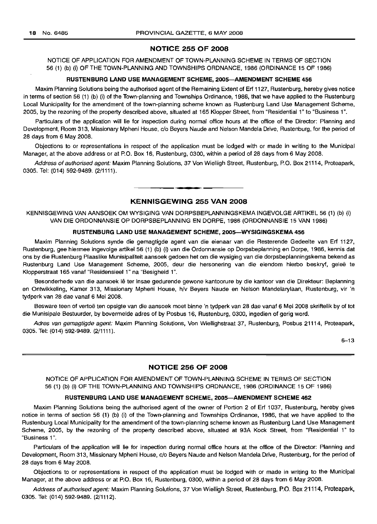## **NOTICE 255 OF 2008**

NOTICE OF APPLICATION FOR AMENDMENT OF TOWN-PLANNING SCHEME IN TERMS OF SECTION 56 (1) (b) (i) OF THE TOWN-PLANNING AND TOWNSHIPS ORDNANCE, 1986 (ORDINANCE 15 OF 1986)

#### **RUSTENBURG LAND USE MANAGEMENT SCHEME, 2005-AMENDMENT SCHEME 456**

Maxim Planning Solutions being the authorised agent of the Remaining Extent of Erf 1127, Rustenburg, hereby gives notice in terms of section 56 (1) (b) (i) of the Town-planning and Townships Ordinance, 1986, that we have applied to the Rustenburg Local Municipality for the amendment of the town-planning scheme known as Rustenburg Land Use Management Scheme, 2005, by the rezoning of the property described above, situated at 165 Klopper Street, from "Residential 1" to "Business 1".

Particulars of the application will lie for inspection during normal office hours at the office of the Director: Planning and Development, Room 313, Missionary Mpheni House, c/o Beyers Naude and Nelson Mandela Drive, Rustenburg, for the period of 28 days from 6 May 2008.

Objections to or representations in respect of the application must be lodged with or made in writing to the Municipal Manager, at the above address or at P.O. Box 16, Rustenburg, 0300, within a period of 28 days from 6 May 2008.

Address of authorised agent: Maxim Planning Solutions, 37 Von Wielligh Street, Rustenburg, P.O. Box 21114, Proteapark, 0305. Tel: (014) 592-9489. (2/1111).

## **KENNISGEWING 255 VAN 2008**

• **• I**

KENNISGEWING VAN AANSOEK OM WYSIGING VAN DORPSBEPLANNINGSKEMA INGEVOLGE ARTIKEL 56 (1) (b) (i) VAN DIE ORDONNANSIE OP DORPSBEPLANNING EN DORPE, 1986 (ORDONNANSIE 15 VAN 1986)

#### **RUSTENBURG LAND USE MANAGEMENT SCHEME, 2005-WYSIGINGSKEMA 456**

Maxim Planning Solutions synde die gemagtigde agent van die eienaar van die Resterende Gedeelte van Erf 1127, Rustenburg, gee hiermee ingevolge artikel 56 (1) (b) (i) van die Ordonnansie op Dorpsbeplanning en Dorpe, 1986, kennis dat ons by die Rustenburg Plaaslike Munisipaliteit aansoek gedoen het om die wysiging van die dorpsbeplanningskema bekend as Rustenburg Land Use Management Scheme, 2005, deur die hersonering van die eiendom hierbo beskryf, geleë te Klopperstraat 165 vanaf "Residensieel 1" na "Besigheid 1".

Besonderhede van die aansoek lê ter insae gedurende gewone kantoorure by die kantoor van die Direkteur: Beplanning en Ontwikkeling, Kamer 313, Missionary Mpheni House, h/v Beyers Naude en Nelson Mandelarylaan, Rustenburg, vir 'n tydperk van 28 dae vanaf 6 Mei 2008.

Besware teen of vertoë ten opsigte van die aansoek moet binne 'n tydperk van 28 dae vanaf 6 Mei 2008 skriftelik by of tot die Munisipale Bestuurder, by bovermelde adres of by Posbus 16, Rustenburg, 0300, ingedien of gerig word.

Adres van gemagtigde agent: Maxim Planning Solutions, Von Wiellighstraat 37, Rustenburg, Posbus 21114, Proteapark, 0305. Tel: (014) 592-9489. (2/1111).

6-13

#### **NOTICE 256 OF 2008**

NOTICE OF APPLICATION FOR AMENDMENT OF TOWN-PLANNING SCHEME IN TERMS OF SECTION 56 (1) (b) (i) OF THE TOWN-PLANNING AND TOWNSHIPS ORDNANCE, 1986 (ORDINANCE 15 OF 1986)

#### **RUSTENBURG LAND USE MANAGEMENT SCHEME, 2005-AMENDMENT SCHEME 462**

Maxim Planning Solutions being the authorised agent of the owner of Portion 2 of Erf 1037, Rustenburg, hereby gives notice in terms of section 56 (1) (b) (i) of the Town-planning and Townships Ordinance, 1986, that we have applied to the Rustenburg Local Municipality for the amendment of the town-planning scheme known as Rustenburg Land Use Management Scheme, 2005, by the rezoning of the property described above, situated at 93A Kock Street, from "Residential 1" to "Business 1".

Particulars of the application will lie for inspection during normal office hours at the office of the Director: Planning and Development, Room 313, Missionary Mpheni House, c/o Beyers Naude and Nelson Mandela Drive, Rustenburg, for the period of 28 days from 6 May 2008.

Objections to or representations in respect of the application must be lodged with or made in writing to the Municipal Manager, at the above address or at P.O. Box 16, Rustenburg, 0300, within a period of 28 days from 6 May 2008.

Address of authorised agent: Maxim Planning Solutions, 37 Von Wielligh Street, Rustenburg, P.O. Box 21114, Proteapark, 0305. Tel: (014) 592-9489. (2/1112).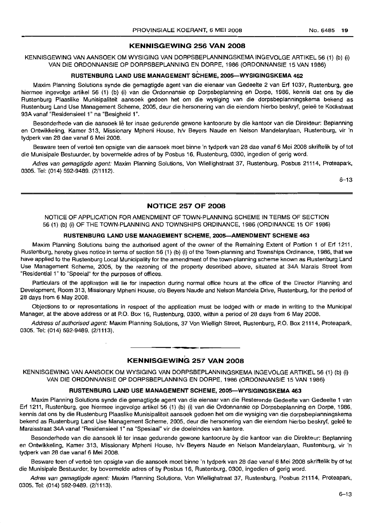## **KENNISGEWING 256 VAN 2008**

KENNISGEWING VAN AANSOEK OM WYSIGING VAN DORPSBEPLANNINGSKEMA INGEVOLGE ARTIKEL 56 (1) (b) (i) VAN DIE ORDONNANSIE OP DORPSBEPLANNING EN DORPE, 1986 (ORDONNANSIE 15 VAN 1986) ,

## **RUSTENBURG LAND USE MANAGEMENT SCHEME, 2005-WYSIGINGSIKEMA** 4<sup>162</sup>

Maxim Planning Solutions synde die gemagtigde agent van dieeienaar van Gedeelte 2 van Erf 1037, Rustenburg, gee hiermee ingevolge artikel 56 (1) (b) (i) van die Ordonnansie op Dorpsbeplanning en Dorpe, 1986, kennis dat ons by die Rustenburg Plaaslike Munisipaliteit aansoek gedoen het om die wysiging van die dorpsbeplanningskema bekend as Rustenburg Land Use Management Scheme, 2005, deur die hersonering van die eiendom hierbo beskryf, geleë te Kockstraat 93A vanaf "Residensieel 1" na "Besigheid 1",

Besonderhede van die aansoek Ie ter insae gedurende gewone kantoorure by die kantoor van die Direkteur: Beplanning en Ontwikkeling, Kamer 313, Missionary Mpheni House, h/v Beyers Naude en Nelson Mandelarylaan, Rustenburg, vir 'n tydperk van 28 dae vanaf 6 Mei 2008.

Besware teen of vertoe ten opsigte van die aansoek moet binne 'n tydperk van 28 dae vanaf 6 Mei 2008 skriftelik by of tot die Munisipale Bestuurder, by bovermelde adres of by Posbus 16, Rustenburg, 0300, ingedien of gerig word.

Adres van gemagtigde agent: Maxim Planning Solutions, Von Wiellighstraat 37, Rustenburg, Posbus 21114, Proteapark, 0305. Tel: (014) 592-9489. (2/1112).

 $6 - 13$ 

## **NOTICE 257 OF 2008**

NOTICE OF APPLICATION FOR AMENDMENT OF TOWN-PLANNING SCHEME IN TERMS OF SECTION 56 (1) (b) (i) OF THE TOWN-PLANNING AND TOWNSHIPS ORDINANCE, 1986 (ORDINANCE 15 OF 1986)

#### **RUSTENBURG LAND USE MANAGEMENT SCHEME, 2005-AMENDMENT SCHEME 463**

Maxim Planning Solutions being the authorised agent of the owner of the Remaining Extent of Portion 1 of Erf 1211, Rustenburg, hereby gives notice in terms of section 56 (1) (b) (i) of the Town-planning and Townships Ordinance, 1986, that we have applied to the Rustenburg Local Municipality for the amendment of the town-planning scheme known as Rustenburg Land Use Management Scheme, 2005, by the rezoning of the property described above, situated at 34A Marais Street from "Residential 1" to "Special" for the purposes of offices.

Particulars of the application will lie for inspection during normal office hours at the office of the Director Planning and Development, Room 313, Missionary Mpheni House, c/o Beyers Naude and Nelson Mandela Drive, Rustenburg, for the period of 28 days from 6 May 2008.

Objections to or representations in respect of the application must be lodged with or made in writing to the Municipal Manager, at the above address or at P.O. Box 16, Rustenburg, 0300, within a period of 28 days from 6 May 2008.

Address of authorised agent: Maxim Planning Solutions, 37 Von Wielligh Street, Rustenburg, P.O. Box 21114, Proteapark, 0305. Tel: (014) 592-9489. (2/1113).

## **KENNISGEWINb 257 VAN 2008**

**• •**

KENNISGEWING VAN AANSOEK OM WYSIGING VAN DORPSBEPLANNINGSKEMA INGEVOLGE ARTIKEL 56 (1) (b) (i) VAN DIE ORDONNANSIE OP DORPSBEPLANNING EN DORPE, 1986 (ORDONNANSIE 15 VAN 1986)

#### **RUSTENBURG LAINO USE MANAGEMENT SCHEME, 2005-WYSIGINGSKEMA 463**

Maxim Planning Solutions synde die gemagtigde agent van die eienaar van die Resterende Gedeelte van Gedeelte 1 van Erf 1211, Rustenburg, gee hiermee ingevolge artikel 56 (1) (b) (i) van die Ordonnansie op Dorpsbeplanning en Dorpe, 1986, kennis dat ons by die Rustenburg Plaaslike Munisipaliteit aansoek gedoen het om die wysiging van die dorpsbeplanningskema bekend as Rustenburg Land Use Management Scheme, 2005, deur die hersonering van die eiendom hierbo beskryf, geleë te Maraisstraat 34A vanaf "Residensieel 1" na "Spesiaal" vir die doeleindes van kantore.

Besonderhede van die aansoek Ie ter insae gedurende gewone kantoorure by die kantoor van die Direkteur: Beplanning en Ontwikkeling, Kamer 313, Missionary Mpheni House, h/v' Beyers Naude en Nelson Mandelarylaan, Rustenburg, vir 'n tydperk van 28 dae vanaf 6 Mei 2008.

Besware teen of vertoë ten opsigte van die aansoek moet binne 'n tydperk van 28 dae vanaf 6 Mei 2008 skriftelik by of tot die Munisipale Bestuurder, by bovermelde adres of by Posbus 16, Rustenburg, 0300, ingedien of gerig word.

Adres van gemagtigde agent: Maxim Planning Solutions, Von Wiellighstraat 37, Rustenburg, Posbus 21114, Proteapark, 0305. Tel: (014) 592-9489. (2/1113).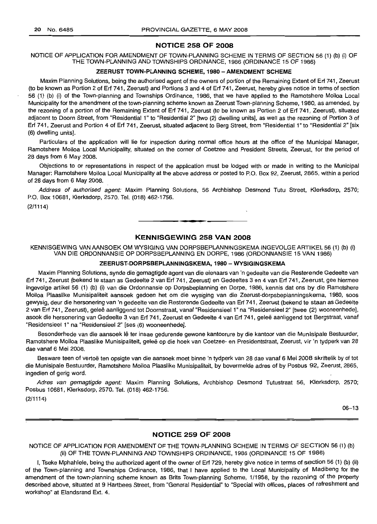## **NOTICE 258 OF 2008**

NOTICE OF APPLICATION FOR AMENDMENT OF TOWN-PLANNING SCHEME IN TERMS OF SECTION 56 (1) (b) (i) OF THE TOWN-PLANNING AND TOWNSHIPS ORDINANCE, 1986 (ORDINANCE 15 OF 1986)

#### **ZEERUST TOWN-PLANNING SCHEME. 1980 - AMENDMENT SCHEME**

Maxim Planning Solutions, being the authorised agent of the owners of portion of the Remaining Extent of Erf 741, Zeerust (to be known as Portion 2 of Erf 741, Zeerust) and Portions 3 and 4 of Erf 741, Zeerust, hereby gives notice in terms of section 56 (1) (b) (i) of the Town-planning and Townships ordinance, 1986, that we have applied to the Ramotshere Moiloa Local Municipality for the amendment of the town-planning scheme known as Zeerust Town-planning Scheme, 1980, as amended, by the rezoning of a portion of the Remaining Extent of Erf 741, Zeerust (to be known as Portion 2 of Erf 741, Zeerust), situated adjacent to Doorn Street, from "Residential 1" to "Residential 2" [two (2) dwelling units], as well as the rezoning of Portion 3 of Erf 741, Zeerust and Portion 4 of Erf 741, Zeerust, situated adjacent to Berg Street, from "Residential 1" to "Residential 2" [six (6) dwelling units].

Particulars of the application will lie for inspection during normal office hours at the office of the Municipal Manager, Ramotshere Moiloa Local Municipality, situated on the corner of Coetzee and President Streets, Zeerust, for the period of 28 days from 6 May 2008.

Objections to or representations in respect of the application must be lodged with or made in writing to the Municipal Manager: Ramotshere Moiloa Local Municipality at the above address or posted to P.O. Box 92, Zeerust, 2865, within a period of 28 days from 6 May 2008.

Address of authorised agent: Maxim Planning Solutions, 56 Archbishop Desmond Tutu Street, Klerksdorp, 2570; P.O. Box 10681, Klerksdorp, 2570. Tel. (018) 462-1756.

(2/1114)

## **KENNISGEWING 258 VAN 2008**

**••**

KENNISGEWING VAN AANSOEK OM WYSIGING VAN DORPSBEPLANNINGSKEMA INGEVOLGE ARTIKEL 56 (1) (b) (i) VAN DIE ORDONNANSIE OP DORPSBEPLANNING EN DORPE, 1986 (ORDONNANSIE 15 VAN 1986)

#### **ZEERUST-DORPSBEPLANNINGSKEMA, 1980 - WYSIGINGSKEMA**

Maxim Planning Solutions, synde diegemagtigde agent van die eienaars van 'n gedeelte van die Resterende Gedeelte van Erf 741, Zeerust (bekend te staan as Gedeelte 2 van Erf 741, Zeerust) en Gedeeltes 3 en 4 van Erf 741 , Zeerust, gee hiermee ingevolge artikel 56 (1) (b) (i) van die Ordonnansie op Dorpsbeplanning en Dorpe, 1986, kennis dat ons by die Ramotshere Moiloa Plaaslike Munisipaliteit aansoek gedoen het om die wysiging van die Zeerust-dorpsbeplanningskema, 1980, 5005 gewysig, deur die hersonering van 'n gedeelte van die Resterende Gedeelte van Erf 741 , Zeerust (bekend te staan as Gedeelte 2 van Erf 741, Zeerust), geleë aanliggend tot Doornstraat, vanaf "Residensieel 1" na "Residensieel 2" [twee (2) wooneenhede], asook die hersonering van Gedeelte 3 van Erf 741, Zeerust en Gedeelte 4 van Erf 741, gelee aanliggend tot Bergstraat, vanaf "Residensieel 1" na "Residensieel 2" [ses (6) wooneenhede].

Besonderhede van die aansoek lê ter insae gedurende gewone kantoorure by die kantoor van die Munisipale Bestuurder, Ramotshere Moiloa Plaaslike Munisipaliteit, gelee op die hoek van Coetzee- en Presidentstraat, Zeerust, vir 'n tydperk van 28 dae vanaf 6 Mei 2008.

Besware teen of vertoe ten opsigte van die aansoek moet binne 'n tydperk van 28 dae vanaf 6 Mei 2008 skriftelik by of *tot* die Munisipale Bestuurder, Ramotshere Moiloa Plaaslike Munisipaliteit, by bovermelde adres of by Posbus 92, Zeerust, 2865, ingedien of gerig word.

Adres van gemagtigde agent: Maxim Planning Solutions, Archbishop Desmond Tutustraat 56, Klerksdorp, 2570; Posbus 10681, Klerksdorp, 2570. Tel. (018) 462-1756.

(2/1114)

06-13

#### **NOTICE 259 OF 2008**

NOTICE OF APPLICATION FOR AMENDMENT OF THE TOWN-PLANNING SCHEME IN TERMS OF SECTION 56 (1) (b) (ii) OF THE TOWN-PLANNING AND TOWNSHIPS ORDINANCE, 1986 (ORDINANCE 15 OF 1986)

I, Tseke Mphahlele, being the authorized agent of the owner of Erf 729, hereby give notice in terms of section 56 (1) (b) (ii) of the Town-planning and Townships Ordinance, 1986, that I have applied to the Local Municipality of Madibeng for the amendment of the town-planning scheme known as Brits Town-planning Scheme, 1/1958, by the rezoning of the property described above, situated at 9 Hartbees Street, from "General Residential" to "Special with offices, places of refreshment and workshop" at Elandsrand Ext. 4.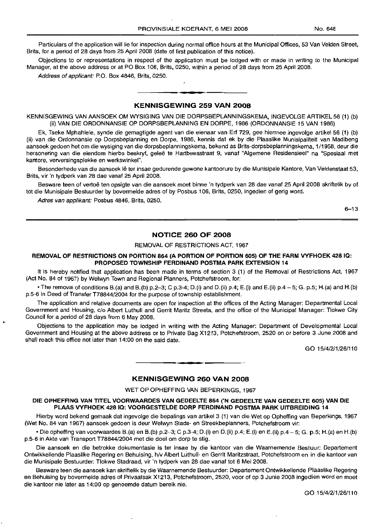Particulars of the application will lie for inspection during normal office hours at the Municipal Offices, 53 Van Velden Street, Brits, for a period of 28 days from 25 April 2008 (date of first publication of this notice).

Objections to or representations in respect of the application must be lodged with or made in writing to the Municipal Manager, at the above address or at PO Box 106, Brits, 0250, within a period of 28 days from 25 April 2008.

Address of applicant: P.O. Box 4846, Brits, 0250.

### **KENNISGEWING 259 VAN 2008**

**.-**

KENNISGEWING VAN MNSOEK OM WYSIGING VAN DIE DORPSBEPLANNINGSKEMA, INGEVOLGE ARTIKEL 56 (1) (b) (ii) VAN DIE ORDONNANSIE OP DORPSBEPLANNING EN DORPE,1986 (ORDONNANSIE 15 VAN 1986)

Ek, Tseke Mphahlele, synde die gemagtigde agent van die eienaar van Erf 729, gee hiermee ingevolge artikel 56 (1) (b) (ii) van die Ordonnansie op Dorpsbeplanning en Dorpe, 1986, kennis dat ek by die Plaaslike Munisipaliteit van Madibeng aansoek gedoen het om die wysiging van die dorpsbeplanningskema, bekend as Brits-dorpsbeplanningskema, 1/1958, deur die hersonering van die eiendom hierbo beskryf, geleë te Hartbeesstraat 9, vanaf "Algemene Residensieel" na "Spesiaal met kantore, verversingsplekke en werkswinkel".

Besonderhede van die aansoek lê ter insae gedurende gewone kantoorure by die Munisipale Kantore, Van Veldenstaat 53, Brits, vir 'n tydperk van 28 dae vanaf 25 April 2008.

Besware teen of vertoë ten opsigte van die aansoek moet binne 'n tydperk van 28 dae vanaf 25 April 2008 skriftelik by of tot die Munisipale Bestuurder by bovermelde adres of by Posbus 106, Brits, 0250, ingedien of gerig word.

Adres van applikant: Posbus 4846, Brits, 0250.

 $6 - 13$ 

## **NOTICE 260 OF 2008**

#### REMOVAL OF RESTRICTIONS ACT, 1967

## **REMOVAL OF RESTRICTIONS ON PORTION 864 (A PORTION OF PORTION 605) OF THE FARM VYFHOEK 428 10: PROPOSED TOWNSHIP FERDINAND POSTMA PARK EXTENSION 14**

It is hereby notified that application has been made in terms of section 3 (1) of the Removal of Restrictions Act, 1967 (Act No. 84 of 1967) by Welwyn Town and Regional Planners, Potchefstroom, for:

• The removal of conditions B.(a) and B.(b) p.2–3; C p.3-4; D.(i) and D.(ii) p.4; E.(i) and E.(ii) p.4 – 5; G. p.5; H.(a) and H.(b) p.5-6 in Deed of Transfer T78844/2004 for the purpose of township establishment.

The application and relative documents are open for inspection at the offices of the Acting Manager: Departmental Local Government and Housing, c/o Albert Luthuli and Gerrit Maritz Streets, and the office of the Municipal Manager: Tlokwe City Council for a period of 28 days from 6 May 2008.

Objections to the application may be lodged in writing with the Acting Manager: Department of Developmental Local Government and Housing at the above address or to Private Bag X1213, Potchefstroom, 2520 on or before 3 June 2008 and shall reach this office not later than 14:00 on the said date.

GO 15/4/2/1/26/110

#### **KENNISGEW!NG 260 VAN 2008**

**••**

WET OP OPHEFFING VAN BEPERKINGS, 1967

## **DIE OPHEFFING VAN TITEL VOORWAARDES VAN GEDEELTE 864 ('N GEDEELTE VAN GEDEELTE 605) VAN DIE PLAAS VYFHOEK 428 10: VOORGESTELDE DORP FERDINAND POSTMA PARK UITBREIDING 14**

Hierby word bekend gemaak dat ingevolge die bepalings van artikel 3 (1) van die Wet op Opheffing van Beperkings, 1967 (Wet No. 84 van 1967) aansoek gedoen is deur Welwyn Stads- en Streekbeplanners, Potchefstroom vir:

• Die opheffing van voorwaardes B.(a) en B.(b) p.2-3; C p.3-4; D.(i) en D.(ii) p.4; E.(i) en E.(ii) p.4 - 5; G. p.5; H.(a) en H.(b) p.5-6 in Akte van Transport T78844/2004 met die doel om dorp te stig.

Die aansoek en die betrokke dokumentasie is ter insae by die kantoor van die Waarnemende Bestuur: Departement Ontwikkellende Plaaslike Regering en Behuising, h/VAlbert Luthuli- en Gerrit Maritzstraat, Potchefstroom en in die kantoor van die Munisipale Bestuurder: Tlokwe Stadraad, vir 'n tydperk van 28 dae vanaf tot 6 Mei 2008.

Besware teen die aansoek kan skriftelik by die Waarnemende Bestuurder: Departement Ontwikkellende Plaaslike Regering en Behuising by bovermelde adres of Privaatsak X1213, Potchefstroom, 2520, voor of op 3 Junie 2008 ingedien word en moet die kantoor nie later as 14:00 op genoemde datum bereik nie.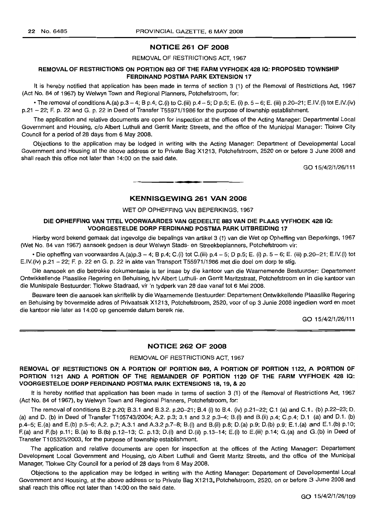## NOTICE 261 OF 2008

## REMOVAL OF RESTRICTIONS ACT, 1967

## REMOVAL OF RESTRICTIONS ON PORTION 883 OF THE FARM VYFHOEK 428 IQ: PROPOSED TOWNSHIP FERDINAND POSTMA PARK EXTENSION 17

It is hereby notified that application has been made in terms of section 3 (1) of the Removal of Restrictions Act, 1967 (Act No. 84 of 1967) by Welwyn Town and Regional Planners, Potchefstroom, for:

• The removal of conditions A, (a)  $p \cdot 3 - 4$ ; B  $p \cdot 4$ ; C, (i) to C, (iii)  $p \cdot 4 - 5$ ; D  $p \cdot 5$ ; E, (i)  $p \cdot 5 - 6$ ; E, (iii)  $p \cdot 20 - 21$ ; E.IV.(i) tot E.IV.(iv) p.21 - 22; F. p. 22 and G. p. 22 in Deed of Transfer T55971/1986 for the purpose of township establishment.

The application and relative documents are open for inspection at the offices of the Acting Manager: Departmental Local Government and Housing, c/o Albert Luthuli and Gerrit Maritz Streets, and the office of the Municipal Manager: Tlokwe City Council for a period of 28 days from 6 May 2008.

Objections to the application may be lodged in writing with the Acting Manager: Department of Developmental Local Government and Housing at the above address or to Private Bag X1213, Potchefstroom, 2520 on or before 3 June 2008 and shall reach this office not later than 14:00 on the said date.

GO 15/4/2/1/26/111

## KENNISGEWING 261 VAN 2008

**•**

WET OP OPHEFFING VAN BEPERKINGS, 1967

#### DIE OPHEFFING VAN TITEL VOORWAARDES VAN GEDEELTE 883 VAN DIE PLAAS VYFHOEK 428 IQ: VOORGESTELDE DORP FERDINAND POSTMA PARK UITBREIDING 17

Hierby word bekend gemaak dat ingevolge die bepalings van artikel 3 (1) van die Wet op Opheffing van Beperkings, 1967 (Wet No. 84 van 1967) aansoek gedoen is deur Welwyn Stads- en Streekbeplanners, Potchefstroom vir:

• Die opheffing van voorwaardes A.(a)p.3 - 4; B p.4; C.(i) tot C.(iii) p.4 - 5; D p.5; E. (i) p. 5 - 6; E. (iii) p.20-21; E.IV.(i) tot E.IV.(iv) p.21 - 22; F. p. 22 en G. p. 22 in akte van Transport T55971/1986 met die doel om dorp te stig.

Die aansoek en die betrokke dokumentasie is ter insae by die kantoor van die Waarnemende Bestuurder: Departement Ontwikkellende Plaaslike Regering en Behuising, h/v Albert Luthuli- en Gerrit Maritzstraat, Potchefstroom en in die kantoor van die Munisipale Bestuurder: Tlokwe Stadraad, vir 'n tydperk van 28 dae vanaf tot 6 Mei 2008.

Besware teen die aansoek kan skriftelik by die Waarnemende Bestuurder: Departement Ontwikkellende Plaaslike Regering en 8ehuising by bovermelde adres of Privaatsak X1213, Potchefstroom, 2520, voor of op 3 Junie 2008 ingedien word en moet die kantoor nie later as 14:00 op genoemde datum bereik nie.

GO 15/4/2/1/26/111

#### NOTICE 262 OF 2008

REMOVAL OF RESTRICTIONS ACT, 1967

## REMOVAL OF RESTRICTIONS ON A PORTION OF PORTION 849, A PORTION OF PORTION 1122, A PORTION OF PORTION 1121 AND A PORTION OF THE REMAINDER OF PORTION 1120 OF THE FARM VYFHOEK 428 IQ: VOORGESTELDE DORP FERDINAND POSTMA PARK EXTENSIONS 18, 19, & 20

It is hereby notified that application has been made in terms of section 3 (1) of the Removal of Restrictions Act, 1967 (Act No. 84 of 1967), by Welwyn Town and Regional Planners, Potchefstroom, for:

The removal of conditions B.2 p.20; 8.3.1 and 8.3.2. p.2D-21; BA (i) to *804.* (iv) p.21-22; C.l (a) and C.l. (b) p.22-23; D. (a) and D. (b) in Deed of Transfer T105743/2004; A.2. p.3; 3.1 and 3.2 p.3-4; B. (i) and B. (ii) p.4; C.p.4; D.1 (a) and D.1. (b) p.4-5; E.(a) and E.(b) p.5-6; A2. p.7; A.3.1 and A.3.2 p.7-8; B.(i} and B.(ii) p.8; D.(a) p.9; D.(b) p.9; E.l.(a} and E.l.(b) p.10; F.(a) and F.(b} p.ll; B.(a) to B.(b} p.12-13; C. p.13; D.(i) and D.(ii} p.13-14; E.(i} to E.(iii} p.14; G.(a) and G.(b) in Deed of Transfer T105325/2003, for the purpose of township establishment.

The application and relative documents are open for inspection at the offices of the Acting Manager: Departement Development Local Government and Housing, c/o Albert Luthuli and Gerrit Maritz Streets, and the office of the Municipal Manager, Tlokwe City Council for a period of 28 days from 6 May 2008.

Objections to the application may be lodged in writing with the Acting Manager: Departement of Developmental Local Government and Housing, at the above address or to Private Bag X1213, Potchefstroom, 2520, on or before 3 June 2008 and shall reach this office not later than 14:00 on the said date.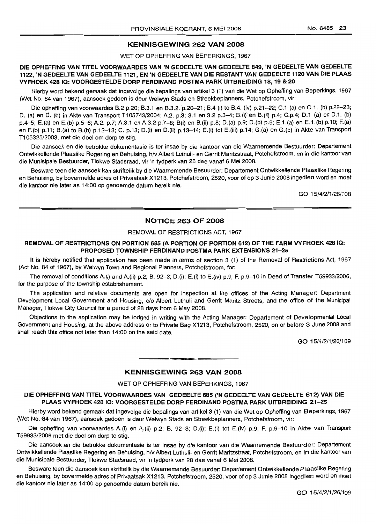## KENNISGEWING 262 VAN 2008

WET OP OPHEFFING VAN BEPERKINGS, 1967

DIE OPHEFFING VAN TITEL VOORWAARDES VAN 'N GEDEELTE VAN GEDEELTE 849, 'N GEDEELTE VAN GEDEELTE 1122, 'N GEDEELTE VAN GEDEELTE 1121, EN 'N GEDEELTE VAN DIE RESTANTVAN GEDEELTE 1120 VAN DIE PLAAS VYFHOEK 4281Q: VOORGESTELDE DORP FERDINAND POSTMA PARK UITBREIDING 18, 19 & 20

Hierby word bekend gemaak dat ingevolge die bepalings van artike/3 (1) van die Wet op Opheffing van Beperkings, 1967 (Wet No. 84 van 1967), aansoek gedoen is deur Welwyn Stads en Streekbeplanners, Potchefstroom, vir:

Die opheffing van voorwaardes B.2 p.20; B.3.1 en B.3.2. p.20–21; B.4 (i) to B.4. (iv) p.21–22; C.1 (a) en C.1. (b) p.22–23; D. (a) en D. (b) in Akte van Transport T105743/2004; A.2. p.3; 3.1 en 3.2 p.3-4; B.(i) en B.(ii) p.4; C.p.4; D.1 (a) en D.1. (b) p.4-5; E.(a) en E.(b) p.5-6; A2. p.7; A3.1 en A3.2 p.7-8; B(i) en B.(ii) p.8; D.(a) p.9; D.(b) p.9; E.1.(a) en E.1.(b) p.10; F.(a) en F.(b) p.11; B.(a) to B.(b) p.12-13; C. p.13; D.(i) en D.(ii) p.13-14; E.(i) tot E.(iii) p.14; G.(a) en G.(b) in Akte van Transport T105325/2003, met die doeI om dorp te stig.

Die aansoek en die betrokke dokumentasie is ter insae by die kantoor van die Waarnemende Bestuurder: Departement Ontwikkellende Plaaslike Regering en Behuising, h/v Albert Luthuli- en Gerrit Maritzstraat, Potchefstroom, en in die kantoor van die Munisipale Bestuurder, Tlokwe Stadsraad, vir 'n tydperk van 28 dae vanaf 6 Mei 2008.

Besware teen die aansoek kan skriftelik by die Waarnemende Besuurder: Departement Ontwikkellende Plaaslike Regering en Behuising, by bovermelde adres of Privaatsak X1213, Potchefstroom, 2520, voor of op 3 Junie 2008 ingedien word en moet die kantoor nie later as 14:00 op genoemde datum bereik nie.

GO 15/4/2/1/26/108

## NOTICE 263 OF 2008

## REMOVAL OF RESTRICTIONS ACT, 1967

## REMOVAL OF RESTRICTIONS ON PORTION 685 (A PORTION OF PORTION 612) OF THE FARM VYFHOEK 428 IQ: PROPOSED TOWNSHIP FERDINAND POSTMA PARK EXTENSIONS 21-25

It is hereby notified that application has been made in terms of section 3 (1) of the Removal of Restrictions Act, 1967 (Act No. 84 of 1967), by Welwyn Town and Regional Planners, Potchefstroom, for:

The removal of conditions A.(i) and A.(ii) p.2; B. 92-3; D.(i); E.(i) to E.(iv) p.9; F. p.9-10 in Deed of Transfer T59933/2006, for the purpose of the township establishement.

The application and relative documents are open for inspection at the offices of the Acting Manager: Department Development Local Government and Housing, c/o Albert Luthuli and Gerrit Maritz Streets, and the office of the Municipal Manager, Tlokwe City Council for a period of 28 days from 6 May 2008.

Objections to the application may be lodged in writing with the Acting Manager: Departement of Developmental Local Government and Housing, at the above address or to Private Bag X1213, Potchefstroom, 2520, on or before 3 June 2008 and shall reach this office not later than 14:00 on the said date.

GO 15/4/2/1/26/109

## KENNISGEWING 263 VAN 2008

WET OP OPHEFFING VAN BEPERKINGS, 1967

#### DIE OPHEFFING VAN TITEL VOORWAARDES VAN GEDEELTE 685 ('N GEDEELTE VAN GEDEELTE 612) VAN DIE PLAAS VYFHOEK 428 IQ: VOORGESTELDE DORP FERDINAND POSTMA PARK UITBREIDING 21-25

Hierby word bekend gemaak dat ingevolge die bepalings van artikel 3 (1) van die Wet op Opheffing van Beperkings, 1967 (Wet No. 84 van 1967), aansoek gedoen is deur Welwyn Stads en Streekbeplanners, Potchefstroom, vir:

Die opheffing van voorwaardes A.(i) en A.(ii) p.2; B. 92-3; D.(i); E.(i) tot E.(iv) p.9; F. p.9-10 in Akte van Transport T59933/2006 met die doel om dorp te stig.

Die aansoek en die betrokke dokumentasie is ter insae by die kantoor van die Waarnemende Bestuurder: Departement Ontwikkellende Plaaslike Regering en Behuising, h/v Albert Luthuli- en Gerrit Maritzstraat, Potchefstroom, en in die kantoor van die Munisipale Bestuurder, Tlokwe Stadsraad, vir 'n tydperk van 28 dae vanaf 6 Mei 2008.

Besware teen die aansoek kan skriftelik by die Waarnemende Besuurder: Departement Ontwikkellende Plaaslike Regering en Behuising, by bovermelde adres of Privaatsak X1213, Potchefstroom, 2520, voor of op 3 Junie 2008 ingedien word en moet die kantoor nie later as 14:00 op genoemde datum bereik nie.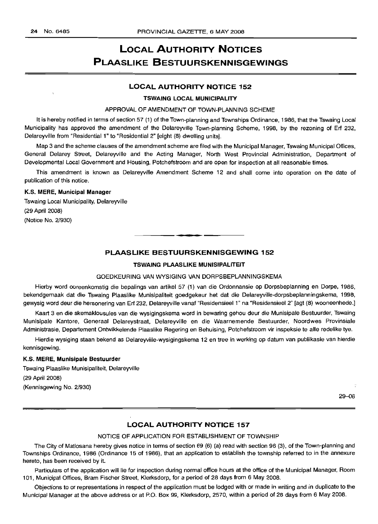# LOCAL AUTHORITY NOTICES PLAASLIKE BESTUURSKENNISGEWINGS

## LOCAL AUTHORITY NOTICE 152

#### TSWAING LOCAL MUNICIPALITY

## APPROVAL OF AMENDMENT OF TOWN-PLANNING SCHEME

It is hereby notified in terms of section 57 (1) of the Town-planning and Townships Ordinance, 1986, that the Tswaing Local Municipality has approved the amendment of the Delareyville Town-planning Scheme, 1998, by the rezoning of Erf 232, Delareyville from "Residential 1" to "Residential 2" [eight (8) dwelling units].

Map 3 and the scheme clauses of the amendment scheme are filed with the Municipal Manager, Tswaing Municipal Offices, General Delarey Street, Delareyville and the Acting Manager, North West Provincial Administration, Department of Developmental Local Government and Housing, Potchefstroom and are open for inspection at all reasonable times.

This amendment is known as Delareyville Amendment Scheme 12 and shall come into operation on the date of publication of this notice.

#### K.S. MERE, Municipal Manager

Tswaing Local Municipality, Delareyville (29 April 2008) (Notice No. 2/930)

## PLAASLIKE BESTUURSKENNISGEWING 152

•

## TSWAING PLAASLIKE MUNISIPALITEIT

#### GOEDKEURING VAN WYSIGING VAN DORPSBEPLANNINGSKEMA

Hierby word ooreenkomstig die bepalings van artikel 57 (1) van die Ordonnansie op Dorpsbeplanning en Dorpe, 1986, bekendgemaak dat die Tswaing Plaaslike Munisipaliteit goedgekeur het dat die Delareyville-dorpsbeplanningskema, 1998, gewysig word deur die hersonering van Erf 232, Delareyville vanaf "Residensieel 1" na "Residensieel 2" [agt (8) wooneenhede.]

Kaart 3 en die skemaklousules van die wysigingskema word in bewaring gehou deur die Munisipale Bestuurder, Tswaing Munisipale Kantore, Generaal Delareystraat, Delareyville en die Waarnemende Bestuurder, Noordwes Provinsiale Administrasie, Departement Ontwikkelende Plaaslike Regering en Behuising, Potchefstroom vir inspeksie te alle redelike tye.

Hierdie wysiging staan bekend as Delareyville-wysigingskema 12 en tree in werking op datum van publikasie van hierdie kennisgewing.

## K.S. MERE, Munisipale Bestuurder

Tswaing Plaaslike Munisipaliteit, Delareyville (29 April 2008) (Kennisgewing No. 2/930)

29-06

## LOCAL AUTHORITY NOTICE 157

## NOTICE OF APPLICATION FOR ESTABLISHMENT OF TOWNSHIP

The City of Matlosana hereby gives notice in terms of section 69 (6) (a) read with section 96 (3), of the Town-planning and Townships Ordinance, 1986 (Ordinance 15 of 1986), that an application to establish the township referred to in the annexure hereto, has been received by it.

Particulars of the application will lie for inspection during normal office hours at the office of the Municipal Manager, Room 101, Municipal Offices, Bram Fischer Street, Klerksdorp, for a period of 28 days from 6 May 2008.

Objections to or representations in respect of the application must be lodged with or made in writing and in duplicate to the Municipal Manager at the above address or at P.O. Box 99, Klerksdorp, 2570, within a period of 28 days from 6 May 2008.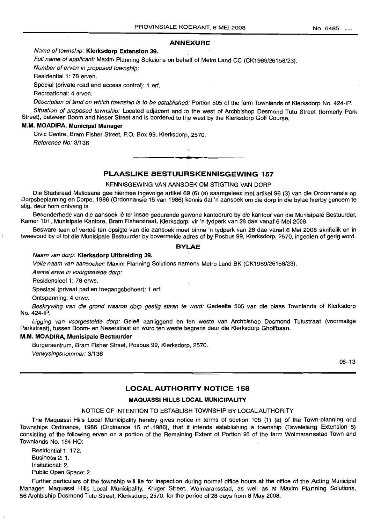## **ANNEXURE**

## Name of township: **Klerksdorp Extension** 39. ,

Full name of applicant: Maxim Planning Solutions on behalf of Metro Land CC (CK1989/26158/23).

Number of erven in proposed township:

Residential 1: 78 erven.

Special (private road and access control): 1 erf.

Recreational: 4 erven.

Description of land on which township is to be established: Portion 505 of the farm Townlands of Klerksdorp No. 424-IP.

Situation of proposed township: Located adjacent and to the west of Archbishop Desmond Tutu Street (formerly Park Street), between Boom and Neser Street and is bordered to the west by the Klerksdorp Golf Course.

#### M.M. **MOADIRA, Municipal Manager**

Civic Centre, Bram Fisher Street, P.O. Box 99, Klerksdorp, 2570. Reference No: 3/136

## **PLAASLIKE BESTUURSKENNISGEWING 157**

**..**

KENNISGEWING VAN AANSOEK OM STIGTING VAN DORP

Die Stadsraad Matlosana gee hiermee ingevolge artikel 69 (6) (a) saamgelees met artikel 96 (3) van die Ordonnansie op Dorpsbeplanning en Dorpe, 1986 (Ordonnansie 15 van 1986) kennis dat 'n aansoek om die dorp in die bylae hierby genoem te stig, deur hom ontvang is.

Besonderhede van die aansoek lê ter insae gedurende gewone kantoorure by die kantoor van die Munisipale Bestuurder, Kamer 101, Munisipale Kantore, Bram Fisherstraat, Klerksdorp, vir 'n tydperk van 28 dae vanaf 6 Mei 2008.

Besware teen of vertoë ten opsigte van die aansoek moet binne 'n tydperk van 28 dae vanaf 6 Mei 2008 skriftelik en in tweevoud by of tot die Munisipale Bestuurder by bovermelde adres of by Posbus 99, Klerksdorp, 2570, ingedien of gerig word.

#### **BYLAE**

#### Naam van dorp: **Klerksdorp Uitbreiding** 39.

Volle naam van aansoeker: Maxim Planning Solutions namens Metro Land BK (CK1989/26158/23).

Aantal erwe in voorgestelde dorp:

Residensieel 1: 78 erwe.

Spesiaal (privaat pad en toegangsbeheer): 1 erf.

Ontspanning: 4 erwe.

Beskrywing van die grond waarop dorp gestig staan te word: Gedeelte 505 van die plaas Townlands of Klerksdorp No. 424-IP.

Ligging van voorgestelde dorp: Geleë aanliggend en ten weste van Archbishop Desmond Tutustraat (voormalige Parkstraat), tussen Boom- en Neserstraat en word ten weste begrens deur die Klerksdorp Gholfbaan.

#### **M.M. MOADIRA, Munisipale Bestuurder**

Burgersentrum, Bram Fisher Street, Posbus 99, Klerksdorp, 2570.

Verwysingsnommer: 3/136

 $06 - 13$ 

## **LOCAL AUTHORITY NOTICE 158**

#### **MAQUASSI HILLS LOCAL MUNICIPALITY**

#### NOTICE OF INTENTION TO ESTABLISH TOWNSHIP BY LOCAL AUTHORITY

The Maquassi Hills Local Municipality hereby gives notice in terms of section 108 (1) (a) of the Town-planning and Townships Ordinance, 1986 (Ordinance 15 of 1986), that it intends establishing a township (Tswelelang Extension 5) consisting of the following erven on a portion of the Remaining Extent of Portion 98 of the farm Wolmaransstad Town and Townlands No. 184-HO:

Residential 1: 172. Business 2: 1. Insitutional: 2. Public Open Space: 2.

Further particulars of the township will lie for inspection during normal office hours at the office of the Acting Municipal Manager: Maquassi Hills Local Municipality, Kruger Street, Wolmaransstad, as well as at Maxim Planning Solutions, 56 Archbiship Desmond Tutu Street, Klerksdorp, 2570, for the period of28 days from 8 May 2008.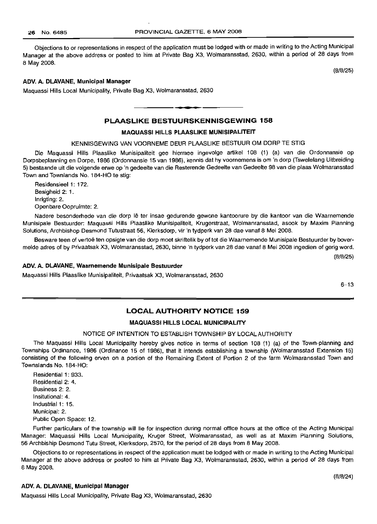Objections to or representations in respect of the application must be lodged with or made in writing to the Acting Municipal Manager at the above address or posted to him at Private Bag X3, Wolmaransstad, 2630, within a period of 28 days from 8 May 2008.

(8/8/25)

#### **ADV. A. DLAVANE, Municipal Manager**

Maquassi Hills Local Municipality, Private Bag X3, Wolmaransstad, 2630

## **PLAASLIKE BESTUURSKENNISGEWING 158**

I **\_ •**

#### **MAQUASSI HILLS PLAASLIKE MUNISIPALITEIT**

KENNISGEWING VAN VOORNEME DEUR PLAASLIKE BESTUUR OM DORP TE STIG

Die Maquassi Hills Plaaslike Munisipaliteit gee hiermee ingevolge artikel 108 (1) (a) van die Ordonnansie op Dorpsbeplanning en Dorpe, 1986 (Ordonnansie 15 van 1986), kennis dat hy voornemens is om 'n dorp (Tswelelang Uitbreiding 5) bestaande uit die volgende erwe op 'n gedeelte van die Resterende Gedeelte van Gedeelte 98 van die plaas Wolmaransstad Town and Townlands No. 184-HO te stig:

Residensieel 1: 172. Besigheid 2: 1. Inrigting: 2. Openbare Oopruimte: 2.

Nadere besonderhede van die dorp lê ter insae gedurende gewone kantoorure by die kantoor van die Waarnemende Munisipale Bestuurder: Maquassi Hills Plaaslike Munisipaliteit, Krugerstraat, Wolmanransstad, asook by Maxim Planning Solutions, Archbishop Desmond Tutustraat 56, Klerksdorp, vir 'n tydperk van 28 dae vanaf 8 Mei 2008.

Besware teen of vertoë ten opsigte van die dorp moet skriftelik by of tot die Waarnemende Munisipale Bestuurder by bovermelde adres of by Privaatsak X3, Wolmaransstad, 2630, binne 'n tydperk van 28 dae vanaf 8 Mei 2008 ingedien of gerig word.

(8/8/25)

#### **ADV. A. DLAVANE, Waarnemende Munisipale Bestuurder**

Maquassi Hills Plaaslike Munisipaliteit, Privaatsak X3, Wolmaransstad, 2630

6-13

### **LOCAL AUTHORITY NOTICE 159**

#### **MAQUASSI HILLS LOCAL MUNICIPALITY**

#### NOTICE OF INTENTION TO ESTABLISH TOWNSHIP BY LOCAL AUTHORITY

The Maquassi Hills Local Municipality hereby gives notice in terms of section 108 (1) (a) of the Town-planning and Townships Ordinance, 1986 (Ordinance 15 of 1986), that it intends establishing a township (Wolmaransstad Extension 15) consisting of the following erven on a portion of the Remaining Extent of Portion 2 of the farm Wolmaransstad Town and Townslands No. 184-HO:

Residential 1: 933. Residential 2: 4. Business 2: 2. Insitutional: 4. Industrial 1: 15. Municipal: 2. Public Open Space: 12.

Further particulars of the township will lie for inspection during normal office hours at the office of the Acting Municipal Manager: Maquassi Hills Local Municipality, Kruger Street, Wolmaransstad, as well as at Maxim Planning Solutions, 56 Archbiship Desmond Tutu Street, Klerksdorp, 2570, for the period of 28 days from 8 May 2008.

Objections to or representations in respect of the application must be lodged with or made in writing to the Acting Municipal Manager at the above address or posted to him at Private Bag X3, Wolmaransstad, 2630, within a period of 28 days from 8 May 2008.

#### **ADV. A. DLAVANE, Municipal Manager**

Maquassi Hills Local Municipality, Private Bag X3, Wolmaransstad, 2630

(8/8/24)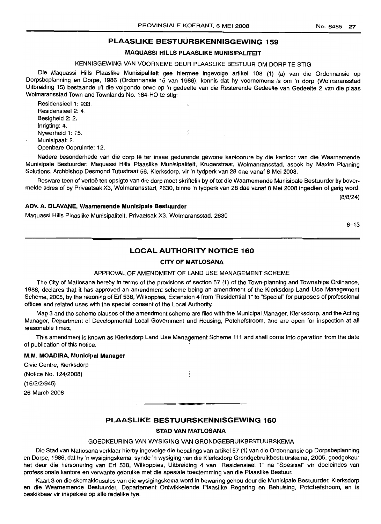## PLAASLIKE BESTUURSKENNISGEWING 159

## MAQUASSI HILLS PLAASLIKE MUNISIPALITEIT

## KENNISGEWING VAN VOORNEME DEUR PLAASLIKE BESTUUR OM DORP TE STIG

Die Maquassi Hills Plaaslike Munisipaliteit gee hiermee ingevolge artikel 108 (1) (a) van die Ordonnansie op Dorpsbeplanning en Dorpe, 1986 (Ordonnansie 15 van 1986), kennis dat hy voornemens is om 'n dorp (Wolmaransstad Uitbreiding 15) bestaande uit die volgende erwe op 'n gedeelte van die Resterende Gedeelte van Gedeelte 2 van die plaas Wolmaransstad Town and Townlands No. 184-HO te stig:

Residensieel 1: 933. Residensieel 2: 4. Besigheid 2: 2. Inrigting: 4. Nywerheid 1: 15. Munisipaal: 2. Openbare Oopruimte: 12.

Nadere besonderhede van die dorp Iê ter insae gedurende gewone kantoorure by die kantoor van die Waarnemende Munisipale Bestuurder: Maquassi Hills Plaaslike Munisipaliteit, Krugerstraat, Wolmanransstad, asook by Maxim Planning Solutions, Archbishop Desmond Tutustraat 56, Klerksdorp, vir 'n tydperk van 28 dae vanaf 8 Mei 2008.

f.

 $\mathbb{R}^2$ 

Besware teen of vertoë ten opsigte van die dorp moet skriftelik by of tot die Waarnemende Munisipale Bestuurder by bovermelde adres of by Privaatsak X3, Wolmaransstad, 2630, binne 'n tydperk van 28 dae vanaf 8 Mei 2008 ingedien of gerig word.

(8/8/24)

#### ADV. A. DLAVANE, Waarnemende Munisipale Bestuurder

Maquassi Hills Plaaslike Munisipaliteit, Privaatsak X3, Wolmaransstad, 2630

6-13

## LOCAL AUTHORITY NOTICE 160

#### CITY OF MATLOSANA

#### APPROVAL OF AMENDMENT OF LAND USE MANAGEMENT SCHEME

The City of Matlosana hereby in terms of the provisions of section 57 (1) of the Town-planning and Townships Ordinance, 1986, declares that it has approved an amendment scheme being an amendment of the Klerksdorp Land Use Management Scheme, 2005, by the rezoning of Erf 538, Wilkoppies, Extension 4 from "Residential 1" to "Special" for purposes of professional offices and related uses with the special consent of the Local Authority.

Map 3 and the scheme clauses of the amendment schema are filed with the Municipal Manager, Klerksdorp, and the Acting Manager, Department of Developmental Local Government and Housing, Potchefstroom, and are open for inspection at all reasonable times.

This amendment is known as Klerksdorp Land Use Management Scheme 111 and shall come into operation from the date of publication of this notice.

#### M.M. MOADIRA, Municipal Manager

Civic Centre, Klerksdorp (Notice No. 124/2008) (16/2/2/945) 26 March 2008

## PLAASLIKE BESTUURSKENNISGEWING 160

**•**

#### STAD VAN MATLOSANA

#### GOEDKEURING VAN WYSIGING VAN GRONDGEBRUIKBESTUURSKEMA

Die Stad van Matiosana verklaar hierby ingevolge die bepalings van artikel 57 (1) van die Ordonnansie op Dorpsbeplanning en Dorpe, 1986, dat hy 'n wysigingskema, synde 'n wysiging van die Klerksdorp Grondqebruikbestuurskerna, 2005, goedgekeur het deur die hersonering van Erf 538, Wilkoppies, Uitbreiding 4 van "Residensieel 1" na "Spesiaal" vir doeleindes van professionale kantore en verwante gebruike met die spesiale toestemming van die Plaaslike Bestuur.

Kaart 3 en die skemaklousules van die wysigingskema word in bewaring gehou deur die Munisipale Bestuurder, Klerksdorp en die Waarnemende Bestuurder, Departement Ontwikkelende Plaaslike Regering en Behuising, Potchefstroom, en is beskikbaar vir inspeksie op aile redelike tye.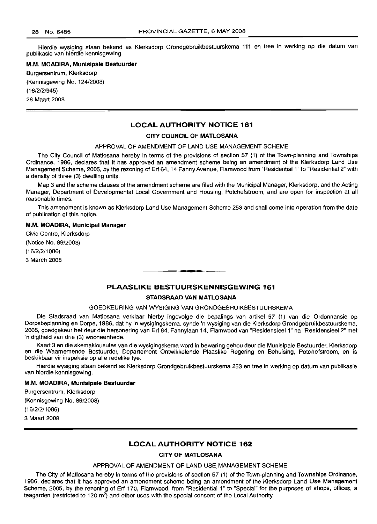Hierdie wysiging staan bekend as Klerksdorp Grondgebruikbestuurskema 111 en tree in werking op die datum van publikasie van hierdie kennisgewing.

## **M.M. MOADIRA, Munisipale Bestuurder**

Burgersentrum, Klerksdorp (Kennisgewing No. 124/2008) (16/2/2/945) 26 Maart 2008

## **LOCAL AUTHORITY NOTICE 161**

#### **CITY COUNCIL OF MATLOSANA**

#### APPROVAL **OF** AMENDMENT **OF** LAND USE MANAGEMENT SCHEME

The City Council of Matlosana hereby in terms of the provisions of section 57 (1) of the Town-planning and Townships Ordinance, 1986, declares that it has approved an amendment scheme being an amendment of the Klerksdorp Land Use Management Scheme, 2005, by the rezoning of Erf 64, 14 Fanny Avenue, Flamwood from "Residential 1" to "Residential 2" with a density of three (3) dwelling units.

Map 3 and the scheme clauses of the amendment scheme are filed with the Municipal Manager, Klerksdorp, and the Acting Manager, Department of Developmental Local Government and Housing, Potchefstroom, and are open for inspection at all reasonable times.

This amendment is known as Klerksdorp Land Use Management Scheme 253 and shall come into operation from the date of publication of this notice.

#### **M.M. MOADIRA, Municipal Manager**

Civic Centre, Klerksdorp (Notice No. 89/2008) (16/2/2/1086) 3 March 2008

## **PLAASLIKE BESTUURSKENNISGEWING 161**

**I •**

#### **STADSRAAD VAN MATLOSANA**

#### GOEDKEURING VAN WYSIGING VAN GRONDGEBRUIKBESTUURSKEMA

Die Stadsraad van Matlosana verklaar hierby ingevolge die bepalings van artikel 57 (1) van die Ordonnansie op Dorpsbeplanning en Dorpe, 1986, dat hy 'n wysigingskema, synde 'n wysiging van die Klerksdorp Grondgebruikbestuurskema, 2005, goedgekeur het deur die hersonering van Erf 64, Fannylaan 14, Flamwood van "Residensieel 1" na "Residensieel 2" met 'n digtheid van drie (3) wooneenhede.

Kaart 3 en die skemaklousules van die wysigingskema word in bewaring gehou deur die Munisipale Bestuurder, Klerksdorp en die Waarnemende Bestuurder, Departement Ontwikkelende Plaaslike Regering en Behuising, Potchefstroom, en is beskikbaar vir inspeksie op aile redelike tye.

Hierdie wysiging staan bekend as Klerksdorp Grondgebruikbestuurskema 253 en tree in werking op datum van publikasie van hierdie kennisgewing.

#### **M.M. MOADIRA, Munisipale Bestuurder**

Burgersentrum, Klerksdorp

(Kennisgewing No. 89/2008)

(16/2/2/1086)

3 Maart 2008

## **LOCAL AUTHORITY NOTICE 162**

## **CITY OF MATLOSANA**

## APPROVAL OF AMENDMENT OF LAND USE MANAGEMENT SCHEME

The City of Matlosana hereby in terms of the provisions of section 57 (1) of the Town-planning and Townships Ordinance, 1986, declares that it has approved an amendment scheme being an amendment of the Klerksdorp Land Use Management Scheme, 2005, by the rezoning of Erf 170, Flamwood, from "Residential 1" to "Special" for the purposes of shops, offices, a teagarden (restricted to 120 m<sup>2</sup>) and other uses with the special consent of the Local Authority.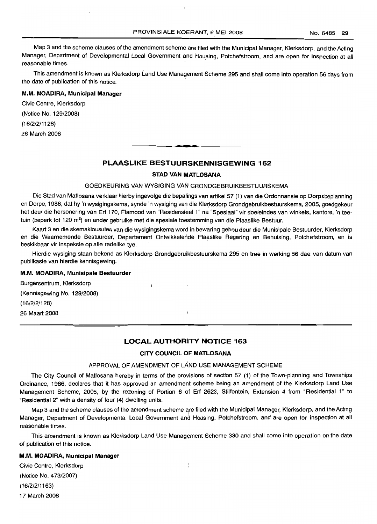Map 3 and the scheme clauses of the amendment scheme are filed with the Municipal Manager, Klerksdorp, and the Acting Manager, Department of Developmental Local Government and Housing, Potchefstroom, and are open for inspection at all reasonable times.

This amendment is known as Klerksdorp Land Use Management Scheme 295 and shall come into operation 56 days from the date of publication of this notice. .

#### M.M. MOADIRA, Municipal Manager

Civic Centre, Klerksdorp (Notice No. 129/2008) (16/2/2/1128) 26 March 2008

## PLAASLIKE BESTUURSKENNISGEWING 162

**--**

#### STAD VAN MATLOSANA

## GOEDKEURING VAN WYSIGING VAN GRONDGEBRUIKBESTUURSKEMA

Die Stad van Matlosana verklaar hierby ingevolge die bepalings van artikel 57 (1) van die Ordonnansie op Dorpsbeplanning en Dorpe, 1986, dat hy 'n wysigingskema, synde 'n wysiging van die Klerksdorp Grondgebruikbestuurskema, 2005, goedgekeur het deur die hersonering van Erf 170, Flamood van "Residensieel 1" na "Spesiaal" vir doeleindes van winkels, kantore, 'n teetuin (beperk tot 120 m<sup>2</sup>) en ander gebruike met die spesiale toestemming van die Plaaslike Bestuur.

Kaart 3 en die skemaklousules van die wysigingskema word in bewaring gehou deur die Munisipale Bestuurder, Klerksdorp en die Waarnemende Bestuurder, Departement Ontwikkelende Plaaslike Regering en Behuising, Potchefstroom, en is beskikbaar vir inspeksie op aile redelike tye.

Hierdie wysiging staan bekend as Klerksdorp Grondgebruikbestuurskema 295 en tree in werking 56 dae van datum van publikasie van hierdie kennisgewing.

 $\mathbf{r}$ 

#### M.M. MOADIRA, Munisipale Bestuurder

Burgersentrum, Klerksdorp

(Kennisgewing No. 129/2008)

(16/2/2/128)

26 Maart 2008

## LOCAL AUTHORITY NOTICE 163

ŀ

## CITY COUNCIL OF MATLOSANA

#### APPROVAL OF AMENDMENT OF LAND USE MANAGEMENT SCHEME

The City Council of Matlosana hereby in terms of the provisions of section 57 (1) of the Town-planning and Townships Ordinance, 1986, declares that it has approved an amendment scheme being an amendment of the Klerksdorp Land Use Management Scheme, 2005, by the rezoning of Portion 6 of Erf 2623, Stilfontein, Extension 4 from "Residential 1" to "Residential 2" with a density of four (4) dwelling units.

Map 3 and the scheme clauses of the amendment scheme are filed with the Municipal Manager, Kferksdorp, and the Acting Manager, Department of Developmental Local Government and Housing, Potchefstroom, and are open for inspection at all reasonable times.

This amendment is known as Klerksdorp Land Use Management Scheme 330 and shall come into operation on the date of publication of this notice.

 $\mathbf{r}$ 

#### M.M. MOADIRA, Municipal Manager

Civic Centre, Klerksdorp (Notice No. 473/2007) (16/2/2/1163) 17 March 2008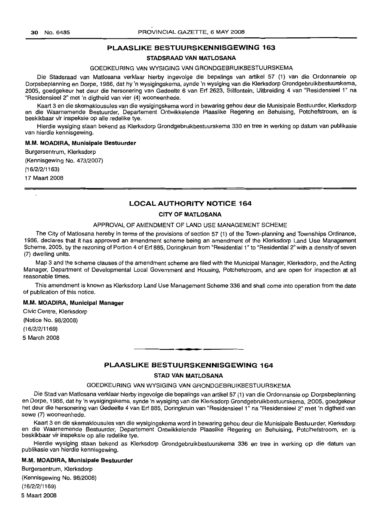## PLAASLIKE BESTUURSKENNISGEWING 163

#### STADSRAAD VAN MATLOSANA

#### GOEDKEURING VAN WYSIGING VAN GRONDGEBRUIKBESTUURSKEMA

Die Stadsraad van Matlosana verklaar hierby ingevolge die bepalings van artikel 57 (1) van die Ordonnansie op Dorpsbeplanning en Dorpe, 1986, dat hy 'n wysigingskema, synde 'n wysiging van die Klerksdorp Grondgebruikbestuurskema, 2005, goedgekeur het deur die hersonering van Gedeelte 6 van Erf 2623, Stilfontein, Uitbreiding 4 van "Residensieel 1" na "Residensieel 2" met 'n digtheid van vier (4) wooneenhede.

Kaart 3 en die skemaklousules van die wysigingskema word in bewaring gehou deur die Munisipale Bestuurder, Klerksdorp en die Waarnemende Bestuurder, Departement Ontwikkelende Plaaslike Regering en Behuising, Potchefstroom, en is beskikbaar vir inspeksie op aile redelike tye.

Hierdie wysiging staan bekend as Klerksdorp Grondgebruikbestuurskema 330 entree in werking op datum van publikasie van hierdie kennisgewing. .

#### M.M. MOADIRA, Munisipale Bestuurder

Burgersentrum, Klerksdorp

(Kennisgewing No. 473/2007)

(16/2/2/1163)

17 Maart 2008

#### LOCAL AUTHORITY NOTICE 164

#### CITY OF MATLOSANA

#### APPROVAL OF AMENDMENT OF LAND USE MANAGEMENT SCHEME

The City of Matlosana hereby in terms of the provisions of section 57 (1) of the Town-planning and Townships Ordinance, 1986, declares that it has approved an amendment scheme being an amendment of the Klerksdorp Land Use Management Scheme, 2005, by the rezoning of Portion 4 of Erf 885, Doringkruin from "Residential 1" to "Residential 2" with a density of seven (7) dwelling units.

Map 3 and the scheme clauses of the amendment scheme are filed with the Municipal Manager, Klerksdorp, and the Acting Manager, Department of Developmental Local Government and Housing, Potchefstroom, and are open for inspection at all reasonable times.

This amendment is known as Klerksdorp Land Use Management Scheme 336 and shall come into operation from the date of publication of this notice.

#### M.M. MOADIRA, Municipal Manager

Civic Centre, Klerksdorp (Notice No. 98/2008) (1 6/2/2/1169) 5 March 2008

#### PLAASLIKE BESTUURSKENNISGEWING 164

**••**

#### STAD VAN MATLOSANA

#### GOEDKEURING VAN WYSIGING VAN GRONDGEBRUIKBESTUURSKEMA

Die Stad van Matlosana verklaar hierby ingevolge die bepalings van artikel 57 (1) van die Ordonnansie op Dorpsbeplanning en Dorpe, 1986, dat hy 'n wysigingskema, synde 'n wysiging van die Klerksdorp Grondgebruikbestuurskema, 2005, goedgekeur het deur die hersonering van Gedeelte 4 van Erf 885, Doringkruin van "Residensieel 1" na "Residensieel 2" met 'n digtheid van sewe (7) wooneenhede.

Kaart 3 en die skemaklousules van die wysigingskema word in bewaring gehou.deur die Munisipale Bestuurder, Klerksdorp en die Waarnemende Bestuurder, Departement Ontwikkelende Plaaslike Regering en Behuising, Potchefstroom, en is beskikbaar vir inspeksie op aile redelike tye.

Hierdie wysiging staan bekend as Klerksdorp Grondgebruikbestuurskema 336 en tree in werking op die datum van publikasie van hierdie kennisgewing.

#### M.M. MOADIRA, Munisipale Bestuurder

Burgersentrum, Klerksdorp (Kennisgewing No. 98/2008) (16/2/2/1169) 5 Maart 2008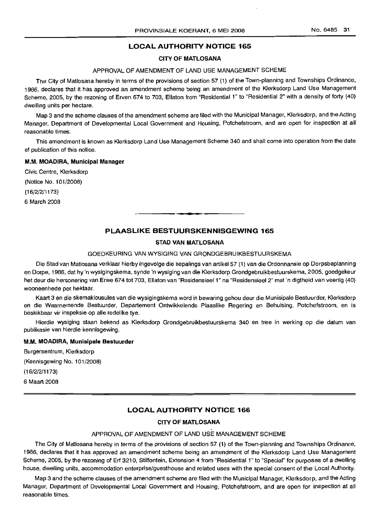## LOCAL AUTHORITY ,NOTICE 165

## CITY OF MATLOSANA

#### APPROVAL OF AMENDMENT OF LAND USE MANAGEMENT SCHEME

The City of Matlosana hereby in terms of the provisions of section 57 (1) of the Town-planning and Townships Ordinance, 1986, declares that it has approved an amendment scheme being an amendment of the Klerksdorp Land Use Management Scheme, 2005, by the rezoning of Erven 674 to 703, Ellaton from "Residential 1" to "Residential 2" with a density of forty (40) dwelling units per hectare.

Map 3 and the scheme clauses of the amendment scheme are filed with the Municipal Manager, Klerksdorp, and the Acting Manager, Department of Developmental Local Government and Housing, Potchefstroom, and are open for inspection at all reasonable times.

This amendment is known as Klerksdorp Land Use Management Scheme 340 and shall come into operation from the date of publication of this notice.

## M.M. MOADIRA, Municipal Manager

Civic Centre, Klerksdorp

(Notice No. 101/2008)

(16/2/2/1173)

6 March 2008

## PLAASLIKE BESTUURSKENNISGEWING 165

#### STAD VAN MATLOSANA

## GOEDKEURING VAN WYSIGING VAN GRONDGEBRUIKBESTUURSKEMA

Die Stad van Matlosana verklaar hierby ingevolge die bepalings van artikel 57 (1) van die Ordonnansie op Dorpsbeplanning en Dorpe, 1986, dat hy 'n wysigingskema, synde 'n wysiging van die Klerksdorp Grondgebruikbestuurskema, 2005, goedgekeur het deur die hersonering van Erwe 674 tot 703, Ellaton van "Residensieel 1" na "Residensieel 2" met 'n digtheid van veertig (40) wooneenhede per hektaar.

Kaart 3 en die skemaklousules van die wysigingskema word in bewaring gehou deur die Munisipale Bestuurder, Klerksdorp en die Waarnemende Bestuurder, Departement Ontwikkelende Plaaslike Regering en Behuising, Potchefstroom, en is beskikbaar vir inspeksie op aile redelike tye.

Hierdie wysiging staan bekend as Klerksdorp Grondgebruikbestuurskema 340 en tree in werking op die datum van publikasie van hierdie kennisgewing.

## M.M. MOADIRA, Munisipale Bestuurder

Burgersentrum, Klerksdorp (Kennisgewing No.1 01/2008) (16/2/2/1173) 6 Maart 2008

## LOCAL AUTHORITY NOTICE 166

## CITY OF MATLOSANA

#### APPROVAL OF AMENDMENT OF LAND USE MANAGEMENT SCHEME

The City of Matlosana hereby in terms of the provisions of section 57 (1) of the Town-planning and Townships Ordinance, 1986, declares that it has approved an amendment scheme being an amendment of the Klerksdorp Land Use Management Scheme, 2005, by the rezoning of Erf 3210, Stilfontein, Extension 4 from "Residential 1" to "Special" for purposes of a dwelling house, dwelling units, accommodation enterprise/guesthouse and related uses with the special consent of the Local Authority.

Map 3 and the scheme clauses of the amendment scheme are filed with the Municipal Manager, Klerksdorp, and the Acting Manager, Department of Developmental Local Government and Housing, Potchefstroom, and are open for inspection at all reasonable times.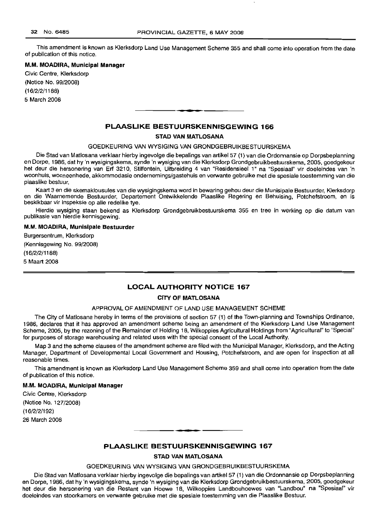This amendment is known as Klerksdorp Land Use Management Scheme 355 and shall come into operation from the date of publication of this notice.

#### M.M. **MOADIRA, Municipal Manager**

Civic Centre, Klerksdorp (Notice No. 99/2008) (16/2/2/1188) 5 March 2008

**PLAASLIKE BESTUURSKENNISGEWING 166**

#### **STAD VAN MATLOSANA**

**-**

GOEDKEURING VAN WYSIGING VAN GRONDGEBRUIKBESTUURSKEMA

Die Stad van Matlosana verklaar hierby ingevolge die bepalings van artikel 57 (1) van die Ordonnansie op Dorpsbeplanning en Dorpe, 1986, dat hy 'n wysigingskema, synde 'n wysiging van die Klerksdorp Grondgebruikbestuurskema, 2005, qoedqekeur het deur die hersonering van Erf 3210, Stilfontein, Uitbreiding 4 van "Residensieel 1" na "Spesiaal" vir doeleindes van 'n woonhuis, wooneenhede, akkommodasie ondernemings/gastehuis en verwante gebruike met die spesiale toestemming van die plaaslike bestuur.

Kaart 3 en die skemaklousules van die wysigingskema word in bewaring gehou deur die Munisipale Bestuurder, Klerksdorp en die Waarnemende Bestuurder, Departement Ontwikkelende Plaaslike Regering en Behuising, Potchefstroom, en is beskikbaar vir inspeksie op aile redelike tye.

Hierdie wysiging staan bekend as Klerksdorp Grondgebruikbestuurskema 355 en tree in werking op die datum van publikasie van hierdie kennisgewing.

#### M.M. **MOADIRA, Munisipale Bestuurder**

Burgersentrum, Klerksdorp (Kennisgewing No. 99/2008)

(16/2/2/1188)

5 Maart 2008

## **LOCAL AUTHORITY NOTICE 167**

#### **CITY OF MATLOSANA**

#### APPROVAL OF AMENDMENT OF LAND USE MANAGEMENT SCHEME

The City of Matlosana hereby in terms of the provisions of section 57 (1) of the Town-planning and Townships Ordinance, 1986, declares that it has approved an amendment scheme being an amendment of the Klerksdorp Land Use Management Scheme, 2005, by the rezoning of the Remainder of Holding 18, Wilkoppies Agricultural Holdings from "Agricultural" to "Special" for purposes of storage warehousing and related uses with the special consent of the Local Authority.

Map 3 and the scheme clauses of the amendment scheme are filed with the Municipal Manager, Klerksdorp, and the Acting Manager, Department of Developmental Local Government and Housing, Potchefstroom, and are open for inspection at all reasonable times.

This amendment is known as Klerksdorp Land Use Management Scheme 359 and shall come into operation from the date of publication of this notice.

#### M.M. **MOADIRA, Municipal Manager**

Civic Centre, Klerksdorp (Notice No. 127/2008) (16/2/2/192) 26 March 2008

## **PLAASLIKE BESTULIRSKENNISGEWING 167**

**•**

#### **STAD VAN MATLOSANA**

#### GOEDKEURING VAN WYSIGING VAN GRONDGEBRUIKBESTUURSKEMA

Die Stad van Matlosana verklaar hierby ingevolge die bepalings van artikel 57 (1) van die Ordonnansie op Dorpsbeplanning en Dorpe, 1986, dat hy 'n wysigingskema, synde 'n wysiging van die Klerksdorp Grondgebruikbestuurskema, 2005, goedgekeur het deur die hersonering van die Restant van Hoewe 18, Wilkoppies Landbouhoewes van "Landbou" na "Spesiaal" vir doeleindes van stoorkamers en verwante gebruike met die spesiale toestemming van die Plaaslike Bestuur.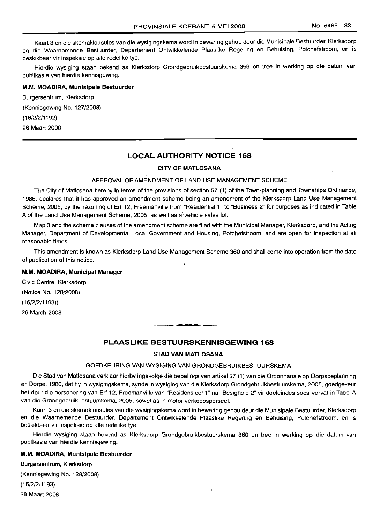Kaart 3 en die skemaklousules van die wysigingskema word in bewaring gehou deur die Munisipale Bestuurder, Klerksdorp en die Waarnemende Bestuurder, Departement Ontwikkelende Plaaslike Regering en Behuising, Potchefstroom, en is beskikbaar vir inspeksie op aile redelike tye.

Hierdie wysiging staan bekend as Klerksdorp Grondgebruikbestuurskema 359 en tree in werking op die datum van publikasie van hierdie kennisgewing.

#### M.M. MOADIRA, Munisipale Bestuurder

Burgersentrum, Klerksdorp (Kennisgewing No. 127/2008) (16/2/2/1192) 26 Maart 2008

## **LOCAL AUTHORITY NOTICE 168**

## CITY OF MATLOSANA

## APPROVAL OF AMENDMENT OF LAND USE MANAGEMENT SCHEME

The City of Matlosana hereby in terms of the provisions of section 57 (1) of the Town-planning and Townships Ordinance, 1986, declares that it has approved an amendment scheme being an amendment of the Klerksdorp Land Use Management Scheme, 2005, by the rezoning of Erf 12, Freemanville from "Residential 1" to "Business 2" for purposes as indicated in Table A of the Land Use Management Scheme, 2005, as well as a vehicle sales lot.

Map 3 and the scheme clauses of the amendment scheme are filed with the Municipal Manager, Klerksdorp, and the Acting Manager, Department of Developmental Local Government and Housing, Potchefstroom, and are open for inspection at all reasonable times.

This amendment is known as Klerksdorp Land Use Management Scheme 360 and shall come into operation from the date of publication of this notice.

#### M.M. MOADIRA, Municipal Manager

Civic Centre, Klerksdorp (Notice No. 128/2008) (16/2/2/1193)) 26 March 2008

## **PLAASLIKE BESTUURSKENNISGEWING 168**

.<br>"a

#### STAD VAN MATLOSANA

#### GOEDKEURING VAN WYSIGING VAN GRONDGEBRUIKBESTUURSKEMA

Die Stad van Matlosana verklaar hierby ingevolge die bepalings van artikel 57 (1) van die Ordonnansie op Dorpsbeplanning en Dorpe, 1986, dat hy 'n wysigingskema, synde 'n wysiging van die Klerksdorp Grondgebruikbestuurskema, 2005, goedgekeur het deur die hersonering van Erf 12, Freemanville van "Residensieel 1" na "Besigheid 2" vir doeleindes soos vervat in Tabel A van die Grondgebruikbestuurskema, 2005, sowel as 'n motor verkoopsperseel.

Kaart 3 en die skemaklousules van die wysigingskema word in bewaring gehou deur die Munisipale Bestuurder, Klerksdorp en die Waarnemende Bestuurder, Departement Ontwikkelende Plaaslike Regering en Behuising, Potchefstroom, en is beskikbaar vir inspeksie op aile redelike tye.

Hierdie wysiging staan bekend as Klerksdorp Grondgebruikbestuurskema 360 en tree in werking op die datum van publikasie van hierdie kennisgewing.

#### M.M. MOADIRA, Munisipale Bestuurder

Burgersentrum, Klerksdorp (Kennisgewing No. 128/2008) (16/2/2/1193) 28 Maart 2008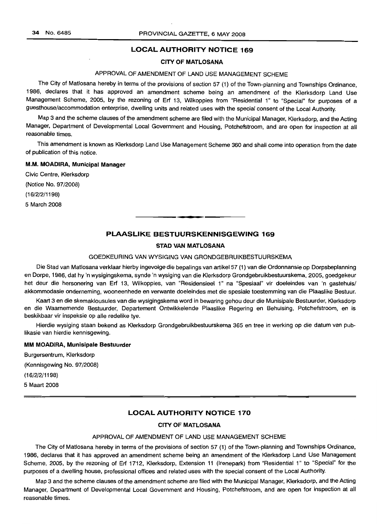## **LOCAL AUTHORITY NOTICE 169**

## **CITY OF MATLOSANA**

## APPROVAL OF AMENDMENT OF LAND USE MANAGEMENT SCHEME

The City of Matlosana hereby in terms of the provisions of section 57 (1) of the Town-planning and Townships Ordinance, 1986, declares that it has approved an amendment scheme being an amendment of the Klerksdorp Land Use Management Scheme, 2005, by the rezoning of Erf 13, Wilkoppies from "Residential 1" to "Special" for purposes of a guesthouse/accommodation enterprise, dwelling units and related uses with the special consent of the Local Authority.

Map 3 and the scheme clauses of the amendment scheme are filed with the Municipal Manager, Klerksdorp, and the Acting Manager, Department of Developmental Local Government and Housing, Potchefstroom, and are open for inspection at all reasonable times.

This amendment is known as Klerksdorp Land Use Management Scheme 360 and shall come into operation from the date of publication of this notice.

## **M.M. MOADIRA, Municipal Manager**

Civic Centre, Klerksdorp

(Notice No. 97/2008)

(16/2/2/1198)

5 March 2008

## **PLAASLIKE BESTUURSKENNISGEWING 169**

**•**

## **STAD VAN MATLOSANA**

## GOEDKEURING VAN WYSIGING VAN GRONDGEBRUIKBESTUURSKEMA

Die Stad van Matlosana verklaar hierby ingevolge die bepalings van artikel 57 (1) van die Ordonnansie op Dorpsbeplanning en Dorpe, 1986, dat hy 'n wysigingskema, synde 'n wysiging van die Klerksdorp Grondgebruikbestuurskema, 2005, goedgekeur het deur die hersonering van Erf 13, Wilkoppies, van "Residensieel 1" na "Spesiaal" vir doeleindes van 'n gastehuis/ akkommodasie onderneming, wooneenhede en verwante doeleindes met die spesiale toestemming van die Plaaslike Bestuur.

Kaart 3 en die skemaklousules van die wysigingskema word in bewaring gehou deur die Munisipale Bestuurder, Klerksdorp en die Waarnemende Bestuurder, Departement Ontwikkelende Plaaslike Regering en Behuising, Potchefstroom, en is beskikbaar vir inspeksie op aile redelike tye.

Hierdie wysiging staan bekend as Klerksdorp Grondgebruikbestuurskema 365 en tree in werking op die datum van pub-Iikasie van hierdie kennisgewing.

#### **MM MOADIRA, Munisipale Bestuurder**

Burgersentrum, Klerksdorp (Kennisgewing No. 97/2008) (16/2/2/1198) 5 Maart 2008

## **LOCAL AUTHORITY NOTICE 170**

#### **CITY OF MATLOSANA**

#### APPROVAL OF AMENDMENT OF LAND USE MANAGEMENT SCHEME

The City of Matlosana hereby in terms of the provisions of section 57 (1) of the Town-planning and Townships Ordinance, 1986, declares that it has approved an amendment scheme being an amendment of the Klerksdorp Land Use Management Scheme, 2005, by the rezoning of Erf 1712, Klerksdorp, Extension 11 (Irenepark) from "Residential 1" to "Special" for the purposes of a dwelling house, professional offices and related uses with the special consent of the Local Authority.

Map 3 and the scheme clauses of the amendment scheme are filed with the Municipal Manager, Klerksdorp, and the Acting Manager, Department of Developmental Local Government and Housing, Potchefstroom, and are open for inspection at all reasonable times.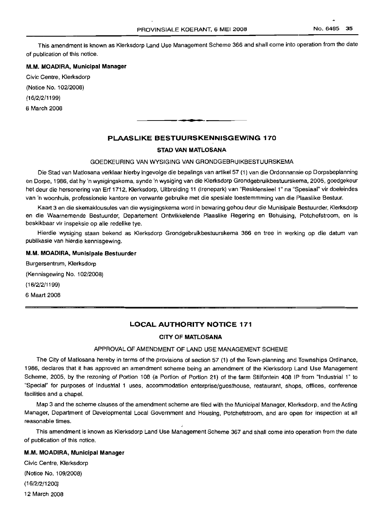This amendment is known as Klerksdorp Land Use Management Scheme 366 and shall come into operation from the date of publication of this notice.

#### M.M. MOADIRA, Municipal Manager

Civic Centre, Klerksdorp

(Notice No. 102/2008)

(16/2/2/1199)

6 March 2008

## PLAASLIKE BESTUURSKENNISGEWING 170

**• E**

#### STAD VAN MATLOSANA

## GOEDKEURING VAN WYSIGING VAN GRONDGEBRUIKBESTUURSKEMA

Die Stad van Matlosana verklaar hierby ingevolge die bepalings van artikel 57 (1) van die Ordonnansie op Dorpsbeplanning en Dorpe, 1986, dat hy 'n wysigingskema, synde 'n wysiging van die Klerksdorp Grondqebruikbestuurskerna, 2005, goedgekeur het deur die hersonering van Erf 1712, Klerksdorp, Uitbreiding 11 (Irenepark) van "Residensieel 1" na "Spesiaal" vir doeleindes van 'n woonhuis, professionele kantore en verwante gebruike met die spesiale toestemmming van die Plaaslike Bestuur.

Kaart 3 en die skemaklousules van die wysigingskema word in bewaring gehou deur die Munisipale Bestuurder, Klerksdorp en die Waarnemende Bestuurder, Departement Ontwikkelende Plaaslike Regering en Behuising, Potchefstroom, en is beskikbaar vir inspeksie op aile redelike tye.

Hierdie wysiging staan bekend as Klerksdorp Grondgebruikbestuurskema 366 en tree in werking op die datum van publikasie van hierdie kennisgewing.

#### M.M. MOADIRA, Munisipale Bestuurder

Burgersentrum, Klerksdorp (Kennisgewing No. 102/2008) (16/2/2/1199) 6 Maart 2008

## LOCAL AUTHORITY NOTICE 171

#### CITY OF MATLOSANA

#### APPROVAL OF AMENDMENT OF LAND USE MANAGEMENT SCHEME

The City of Matlosana hereby in terms of the provisions of section 57 (1) of the Town-planning and Townships Ordinance, 1986, declares that it has approved an amendment scheme being an amendment of the Klerksdorp Land Use Management Scheme, 2005, by the rezoning of Portion 108 (a Portion of Portion 21) of the farm Stilfontein 408 IP from "Industrial 1" to "Special" for purposes of Industrial 1 uses, accommodation enterprise/guesthouse, restaurant, shops, offices, conference facilities and a chapel.

Map 3 and the scheme clauses of the amendment scheme are filed with the Municipal Manager, Klerksdorp, and the Acting Manager, Department of Developmental Local Government and Housing, Potchefstroom, and are open for inspection at all reasonable times.

This amendment is known as Klerksdorp Land Use Management Scheme 367 and shall come into operation from the date of publication of this notice.

## M.M. MOADIRA, Municipal Manager

Civic Centre, Klerksdorp (Notice No. 109/2008) (16/2/2/1200) 12 March 2008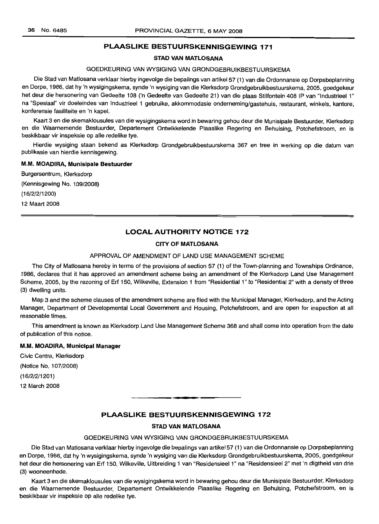## PLAASLIKE BESTUURSKENNISGEWING 171

## STAD VAN MATLOSANA

## GOEDKEURING VAN WYSIGING VAN GRONDGEBRLlIKBESTULIRSKEMA

Die Stad van Matlosana verklaar hierby ingevolge die bepalings van artikel 57 (1) van die Ordonnansie op Dorpsbeplanning en Dorpe, 1986, dat hy 'n wysigingskema, synde 'n wysiging van die Klerksdorp Grondgebruikbestuurskema, 2005, goedgekeur het deur die hersonering van Gedeelte 108 ('n Gedeelte van Gedeelte 21) van die plaas Stilfontein 408 IP van "Industrieel 1" na "Spesiaal" vir doeleindes van Industrieel 1 gebruike, akkommodasie onderneming/gastehuis, restaurant, winkels, kantore, konferensie fasiliteite en 'n kapel.

Kaart 3 en die skemaklousules van die wysigingskema word in bewaring gehou deur die Munisipale Bestuurder, Klerksdorp en die Waarnemende Bestuurder, Departement Ontwikkelende Plaaslike Regering en Behuising, Potchefstroom, en is beskikbaar vir inspeksie op aile redelike tye.

Hierdie wysiging staan bekend as Klerksdorp Grondgebruikbestuurskema 367 en tree in werking op die datum van publikasie van hierdie kennisgewing.

#### M.M. MOADIRA, Munisipale Bestuurder

Burgersentrum, Klerksdorp (Kennisgewing No. 109/2008) (16/2/2/1200) 12 Maart 2008

## **LOCAL AUTHORITY NOTICE 172**

## CITY OF MATLOSANA

## APPROVAL OF AMENDMENT OF LAND USE MANAGEMENT SCHEME

The City of Matlosana hereby in terms of the provisions of section 57 (1) of the Town-planning and Townships Ordinance, 1986, declares that it has approved an amendment scheme being an amendment of the Klerksdorp Land Use Management Scheme, 2005, by the rezoning of Erf 150, Wilkeville, Extension 1 from "Residential 1" to "Residential 2" with a density of three (3) dwelling units.

Map 3 and the scheme clauses of the amendment scheme are filed with the Municipal Manager, Klerksdorp, and the Acting Manager, Department of Developmental Local Government and Housing, Potchefstroom, and are open for inspection at all reasonable times.

This amendment is known as Klerksdorp Land Use Management Scheme 368 and shall come into operation from the date of publication of this notice.

#### M.M. MOADIRA, Municipal Manager

Civic Centre, Klerksdorp (Notice No.1 07/2008) (16/2/2/1201) 12 March 2008

**• I**

## PLAASLIKE BESTUURSKENNISGEWING 172

#### STAD VAN MATLOSANA

## GOEDKELIRING VAN WYSIGING VAN GRONDGEBRUIKBESTUURSKEMA

Die Stad van Matlosana verklaar hierby ingevolge die bepalings van artikel 57 (1) van die Ordonnansie op Dorpsbeplanning en Dorpe, 1986, dat hy 'n wysigingskema, synde 'n wysiging van die Klerksdorp Grondgebruikbestuurskema, 2005, goedgekeur het deur die hersonering van Erf 150, Wilkeville, Uitbreiding 1 van "Residensieel 1" na "Residensieel 2" met 'n digtheid van drie (3) wooneenhede.

Kaart 3 en die skemaklousules van die wysigingskema word in bewaring gehou deur die Munisipale Bestuurder, Klerksdorp en die Waarnemende Bestuurder, Departement Ontwikkelende Plaaslike Regering en Behuising, Potchefstroom, en is beskikbaar vir inspeksie op aile redelike tye.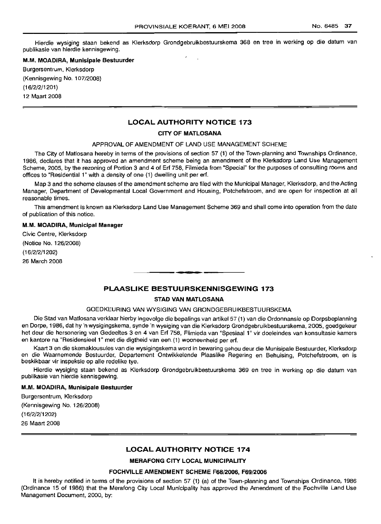Hierdie wysiging staan bekend as Klerksdorp Grondgebruikbestuurskema 368 en tree in werking op die datum van publikasie van hierdie kennisgewing.

#### M.M. MOADIRA, Munisipale Bestuurder

Burgersentrum, Klerksdorp (Kennisgewing NO.107/2008) (16/2/2/1201)

12 Maart 2008

## LOCAL AUTHORITY NOTICE 173

#### CITY OF MATLOSANA

#### APPROVAL OF AMENDMENT OF LAND USE MANAGEMENT SCHEME

The City of Matlosana hereby in terms of the provisions of section 57 (1) of the Town-planning and Townships Ordinance, 1986, declares that it has approved an amendment scheme being an amendment of the Klerksdorp Land Use Management Scheme, 2005, by the rezoning of Portion 3 and 4 of Ert 758, Filmieda from "Special" for the purposes of consulting rooms and offices to "Residential 1" with a density of one (1) dwelling unit per ert.

Map 3 and the scheme clauses of the amendment scheme are filed with the Municipal Manager, Klerksdorp, and the Acting Manager, Department of Developmental Local Government and Housing, Potchefstroom, and are open for inspection at all reasonable times.

This amendment is known as Klerksdorp Land Use Management Scheme 369 and shall come into operation from the date of publication of this notice.

#### M.M. MOADIRA, Municipal Manager

Civic Centre, Klerksdorp (Notice No. 126/2008) (16/2/2/1202) 26 March 2008

## PLAASLIKE BESTUURSKENNISGEWING 173

-**-.**

#### STAD VAN MATLOSANA

#### GOEDKEURING VAN WYSIGING VAN GRONDGEBRUIKBESTUURSKEMA

Die Stad van Matlosana verklaar hierby ingevolge die bepalings van artikel 57 (1) van die Ordonnansie op Dorpsbeplanning en Dorpe, 1986, dat hy 'n wysigingskema, synde 'n wysiging van die Klerksdorp Grondgebruikbestuurskema, 2005, goedgekeur het deur die hersonering van Gedeeltes 3 en 4 van Ert 758, Flimieda van "Spesiaal 1" vir doeleindes van konsultasie kamers en kantore na "Residensieel 1" met die digtheid van een (1) wooneenheid per ert.

Kaart 3 en die skemaklousules van die wysigingskema word in bewaring gehou deur die Munisipale Bestuurder, Klerksdorp en die Waarnemende Bestuurder, Departement Ontwikkelende Plaaslike Regering en Behuising, Potchefstroom, en is beskikbaar vir inspeksie op aile redelike tye.

Hierdie wysiging staan bekend as Klerksdorp Grondgebruikbestuurskema 369 en tree in werking op die datum van publikasie van hierdie kennisgewing.

#### M.M. MOADIRA, Munisipale Bestuurder

Burgersentrum, Klerksdorp (Kennisgewing No. '126/2008) (16/2/2/1202) 26 Maart 2008

## LOCAL AUTHORITY NOTICE 174

## MERAFONG CITY LOCAL MUNICIPALITY

## FOCHVILLE AMENDMENT SCHEME F68/2006, F69/2006

It is hereby notified in terms of the provisions of section 57 (1) (a) of the Town-planning and Townships Ordinance, 1986 (Ordinance 15 of 1986) that the Merafong City Local Municipality has approved the Amendment of the Fochville Land Use Management Document, 2000, by: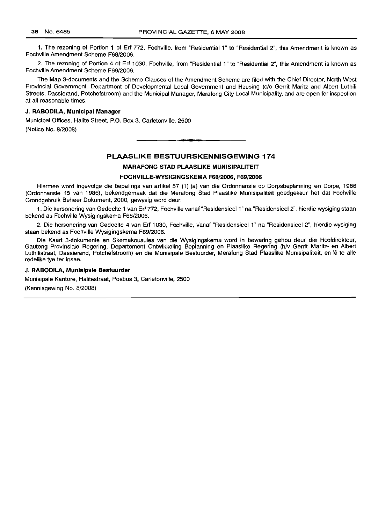1. The rezoning of Portion 1 of Erf 772, Fochville, from "Residential 1" to "Residential 2", this Amendment is known as Fochville Amendment Scheme F68/2006.

2. The rezoning of Portion 4 of Erf 1030, Fochville, from "Residential 1" to "Residential 2", this Amendment is known as Fochville Amendment Scheme F69/2006.

The Map 3-documents and the Scheme Clauses of the Amendment Scheme are filed with the Chief Director, North West Provincial Government, Department of Developmental Local Government and Housing (c/o Gerrit Maritz and Albert Luthili Streets, Dassierand, Potchefstroom) and the Municipal Manager, Merafong City Local Municipality, and are open for inspection at all reasonable times.

#### J. RABODILA, Municipal Manager

Municipal Offices, Halite Street, P.O. Box 3, Carletonville, 2500 (Notice No. 8/2008) .**-.**

## PLAASLIKE BESTUURSKENNISGEWING 174

#### MARAFONG STAD PLAASLIKE MUNISIPALITEIT

#### FOCHVILLE-WYSIGINGSKEMA F68/2006, F69/2006

Hiermee word ingevolge die bepalings van artikel 57 (1) (a) van die Ordonnansie op Dorpsbeplanning en Dorpe, 1986 (Ordonnansie 15 van 1986), bekendgemaak dat die Merafong Stad Plaaslike Munisipaliteit goedgekeur het dat Fochville Grondgebruik Beheer Dokument, 2000, gewysig word deur:

1. Die hersonering van Gedeelte 1 van Erf 772, Fochville vanaf "ResidensieeI1" na "ResidensieeI2", hierdie wysiging staan bekend as Fochville Wysigingskema F68/2006.

2. Die hersonering van Gedeelte 4 van Erf 1030, Fochville, vanaf "Residensieel 1" na "Residensieel 2", hierdie wysiging staan bekend as Fochville Wysigingskema F69/2006.

Die Kaart 3-dokumente en Skemakousules van die Wysigingskema word in bewaring gehou deur die Hoofdirekteur, Gauteng Provinsiale Regering, Departement Ontwikkeling Beplanning en Plaaslike Regering (h/v Gerrit Maritz- en Albert Luthilistraat, Dassierand, Potchefstroom) en die Munisipale Bestuurder, Merafong Stad Plaaslike Munisipaliteit, en lê te alle redelike tye ter insae.

#### J. RABODILA, Munisipale Bestuurder

Munisipale Kantore, Halitestraat, Posbus 3, Carletonville, 2500

(Kennisgewing No. 8/2008)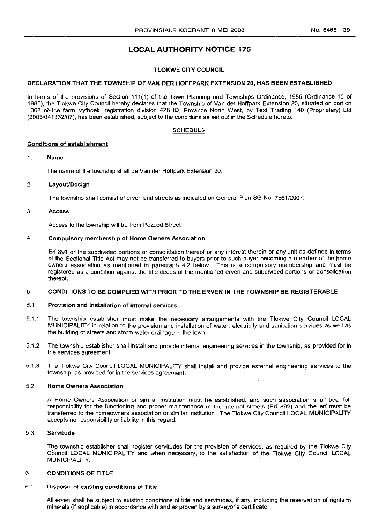## LOCAL AUTHORITY NOTICE 175

## TLOKWE CITY COUNCIL

#### DECLARATION THAT THE TOWNSHIP OF VAN DER HOFFPARK EXTENSION 20, HAS BEEN ESTABLISHED

In terms of the provisions of Section 111(1} of the Town Planning and Townships Ordinance, 1986 (Ordinance 15 of 1986), the Tlokwe City Council hereby declares that the Township of Van der Hoffpark Extension 20, situated on portion 1362 of-the farm Vyfhoek, registration division 428 IQ, Province North West, by Text Trading 140 (Proprietary) Ltd (2005/041362/07), has been established, subject to the conditions as set out in the Schedule hereto.

## SCHEDULE

#### Conditions of establishment

#### 1. Name

The name of the township shall be Van der Hoffpark Extension 20.

## 2. Layout/Design

The township shall consist of erven and streets as indicated on General Plan SG No. 7561/2007.

#### 3. Access

Access to the township will be from Pezcod Street.

#### 4. Compulsory membership of Home Owners Association

Erf 891 or the subdivided portions or consolidation thereof or any interest therein or any unit as defined in terms of the Sectional Title Act may not be transferred to buyers prior to such buyer becoming a member of the home owners association as mentioned in paragraph 4.2 below. This is a compulsory membership and must be registered as a condition against the title deeds of the mentioned erven and subdivided portions or consolidation thereof.

#### 5. CONDITIONS TO BE COMPLIED WITH PRIOR TO THE ERVEN IN THE TOWNSHIP BE REGISTERABLE

#### 5.1 Provision and installation of internal services

- 5.1.1 The township establisher must make the necessary arrangements with the Tlokwe City Council LOCAL MUNICIPALITY in relation to the provision and installation of water, electricity and sanitation services as well as the building of streets and storm-water drainage in the town.
- 5.1.2 The township establisher shall install and provide internal engineering services in the township, as provided for in the services agreement.
- 5.1.3 The Tlokwe City Council LOCAL MUNICIPALITY shall install and provide external engineering services to the township, as provided for in the services agreement.

#### 5.2 Home Owners Association

A Home Owners Association or similar institution must be established, and such association shall bear full responsibility for the functioning and proper maintenance of the internal streets (Erf 892) and the erf must be transferred to the homeowners association or similar institution. The Tlokwe City Council LOCAL MUNICIPALITY accepts no responsibility or liability in this regard.

#### 5.3 Serviftude

The township establisher shall register servitudes for the provision of services, as required by the Tlokwe City Council LOCAL MUNICIPALITY and when necessary, to the satisfaction of the Tlokwe City Council LOCAL MUNICIPALITY.

#### 6. CONDITIONS OF TITLE

#### 6.1 Disposal of existing conditions of Title

All erven shall be subject to existing conditions of title and servitudes, if any, including the reservation of rights to minerals (if applicable) in accordance with and as proven by a surveyor's certificate.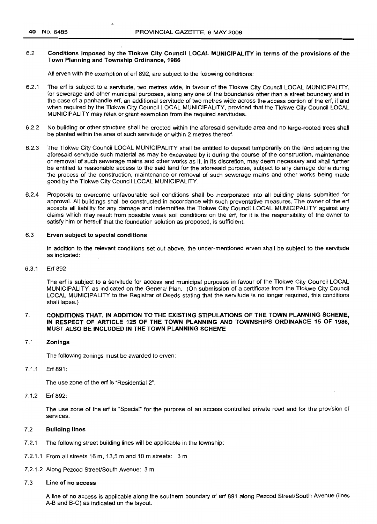## 6.2 Conditions imposed by the Tlokwe City Council LOCAL MUNICIPALITY in terms of the provisions of the Town Planning and Township Ordinance, 1986

All erven with the exemption of erf 892, are subject to the following conditions:

- 6.2.1 The ert is subject to a servitude, two metres wide, in favour of the Tlokwe City Council LOCAL MUNICIPALITY, for sewerage and other municipal purposes, along anyone of the boundaries other than a street boundary and in the case of a panhandle ert, an additional servitude of two metres wide across the access portion of the ert, if and when required by the Tlokwe City Council LOCAL MUNICIPALITY, provided that the Tlokwe City Council LOCAL MUNICIPALITY may relax or grant exemption from the required servitudes.
- 6.2.2 No building or other structure shall be erected within the aforesaid servitude area and no large-rooted trees shall be planted within the area of such servitude or within 2 metres thereof.
- 6.2.3 The Tlokwe City Council LOCAL MUNICIPALITY shall be entitled to deposit temporarily on the land adjoining the aforesaid servitude such material as may be excavated by it during the course of the construction, maintenance or removal of such sewerage mains and other works as it, in its discretion, may deem necessary and shall further be entitled to reasonable access to the said land for the aforesaid purpose, subject to any damage done during the process of the construction, maintenance or removal of such sewerage mains and other works being made good by the Tlokwe City Council LOCAL MUNICIPALITY.
- 6.2.4 Proposals to overcome unfavourable soil conditions shall be incorporated into all building plans submitted for approval. All buildings shall be constructed in accordance with such preventative measures. The owner of the ert accepts all liability for any damage and indemnifies the Tlokwe City Council LOCAL MUNICIPALITY against any claims which may result from possible weak soil conditions on the ert, for it is the responsibility of the owner to satisfy him or herself that the foundation solution as proposed, is sufficient.

## 6.3 Erven subject to special conditions

In addition to the relevant conditions set out above, the under-mentioned erven shall be subject to the servitude as indicated:

#### 6.3.1 Ert 892

The ert is subject to a servitude for access and municipal purposes in favour of the Tlokwe City Council LOCAL MUNICIPALITY, as indicated on the General Plan. (On submission of a certificate from the Tlokwe City Council LOCAL MUNICIPALITY to the Registrar of Deeds stating that the servitude is no longer required, this conditions shall lapse.)

#### 7. CONDITIONS THAT, IN ADDITION TO THE EXISTING STIPULATIONS OF THE TOWN PLANNING SCHEME, IN RESPECT OF ARTICLE 125 OF THE TOWN PLANNING AND TOWNSHIPS ORDINANCE 15 OF 1986, MUST ALSO BE INCLUDED IN THE TOWN PLANNING SCHEME

#### 7.1 Zonings

The following zonings must be awarded to erven:

7.1.1 Ert891:

The use zone of the erf is "Residential 2".

7.1.2 Ert 892:

The use zone of the ert is "Special" for the purpose of an access controlled private road and for the provision of services.

## 7.2 Building lines

- 7.2.1 The following street building lines will be applicable in the township:
- 7.2.1.1 From all streets 16 m,13,5 m and 10 m streets: 3 m
- 7.2.1.2 Along Pezcod Street/South Avenue: 3 m

#### 7.3 Line of no access

A line of no access is applicable along the southern boundary of ert 891 along Pezcod Street/South Avenue (lines A-B and B-C) as indicated on the layout.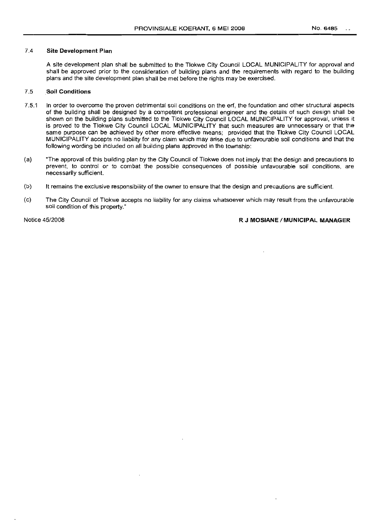#### 7.4 Site Development Plan

A site development plan shall be submitted to the Tlokwe City Council LOCAL MUNICIPALITY for approval and shall be approved prior to the consideration of building plans and the requirements with regard to the building plans and the site development plan shall be met before the rights may be exercised.

#### 7.5 Soil Conditions

- 7.5.1 In order to overcome the proven detrimental soil conditions on the erf, the foundation and other structural aspects of the building shall be designed by a competent professional engineer and the details of such design shall be shown on the building plans submitted to the Tlokwe City Council LOCAL MUNICIPALITY for approval, unless it is proved to the Tlokwe City Council LOCAL MUNICIPALITY that such measures are unnecessary or that the same purpose can be achieved by other more effective means; provided that the Tlokwe City Council LOCAL MUNICIPALITY accepts no liability for any claim which may arise due to unfavourable soil conditions and that the following wording be included on all building plans approved in the township:
- (a) "The approval of this building plan by the City Council of Tlokwe does not imply that the design and precautions to prevent, to control or to combat the possible consequences of possible unfavourable soil conditions, are necessarily sufficient.
- (b) It remains the exclusive responsibility of the owner to ensure that the design and precautions are sufficient.
- (c) The City Council of Tlokwe accepts no liability for any claims whatsoever which may result from the unfavourable soil condition of this property."

Notice 45/2008 **R J MOSIANE/MUNICIPAL MANAGER**